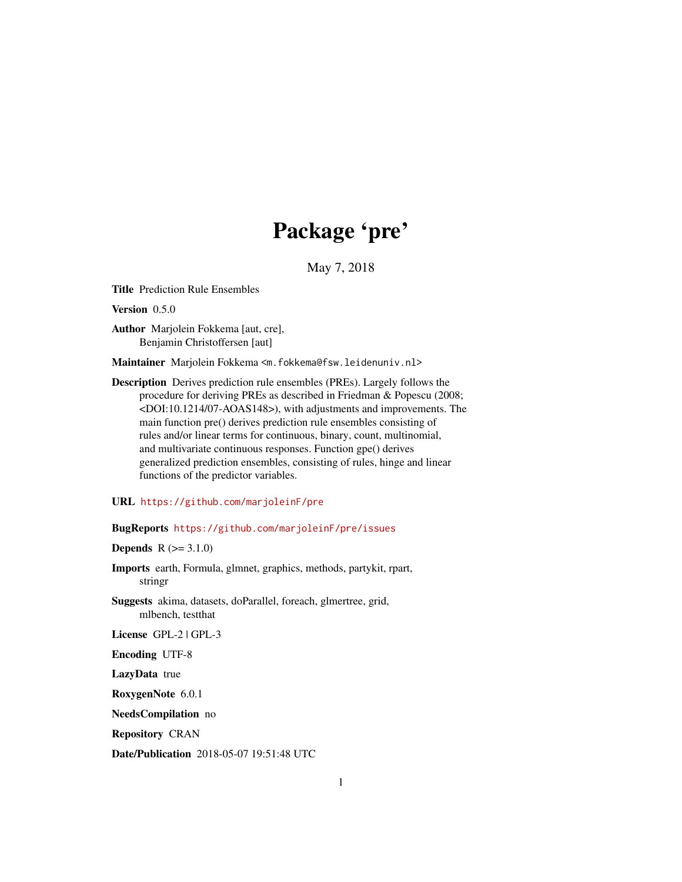## Package 'pre'

May 7, 2018

<span id="page-0-0"></span>Title Prediction Rule Ensembles

Version 0.5.0

Author Marjolein Fokkema [aut, cre], Benjamin Christoffersen [aut]

Maintainer Marjolein Fokkema <m.fokkema@fsw.leidenuniv.nl>

Description Derives prediction rule ensembles (PREs). Largely follows the procedure for deriving PREs as described in Friedman & Popescu (2008; <DOI:10.1214/07-AOAS148>), with adjustments and improvements. The main function pre() derives prediction rule ensembles consisting of rules and/or linear terms for continuous, binary, count, multinomial, and multivariate continuous responses. Function gpe() derives generalized prediction ensembles, consisting of rules, hinge and linear functions of the predictor variables.

URL <https://github.com/marjoleinF/pre>

BugReports <https://github.com/marjoleinF/pre/issues>

**Depends**  $R (= 3.1.0)$ 

Imports earth, Formula, glmnet, graphics, methods, partykit, rpart, stringr

Suggests akima, datasets, doParallel, foreach, glmertree, grid, mlbench, testthat

License GPL-2 | GPL-3

Encoding UTF-8

LazyData true

RoxygenNote 6.0.1

NeedsCompilation no

Repository CRAN

Date/Publication 2018-05-07 19:51:48 UTC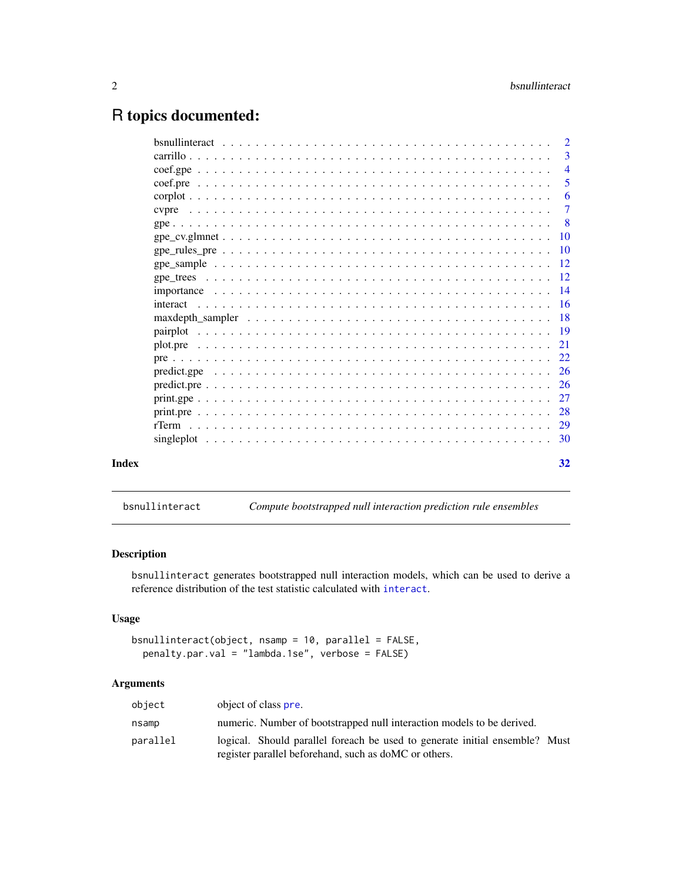### <span id="page-1-0"></span>R topics documented:

|       | -3                        |
|-------|---------------------------|
|       |                           |
|       | 5                         |
|       | -6                        |
|       | $\overline{7}$            |
|       | $\overline{\phantom{0}}8$ |
|       |                           |
|       |                           |
|       |                           |
|       |                           |
|       |                           |
|       |                           |
|       |                           |
|       |                           |
|       |                           |
|       |                           |
|       |                           |
|       |                           |
|       |                           |
|       |                           |
|       |                           |
|       |                           |
|       |                           |
| Index | 32                        |
|       |                           |

<span id="page-1-1"></span>bsnullinteract *Compute bootstrapped null interaction prediction rule ensembles*

#### Description

bsnullinteract generates bootstrapped null interaction models, which can be used to derive a reference distribution of the test statistic calculated with [interact](#page-15-1).

### Usage

```
bsnullinteract(object, nsamp = 10, parallel = FALSE,
  penalty.par.val = "lambda.1se", verbose = FALSE)
```
#### Arguments

| object   | object of class pre.                                                                                                                  |
|----------|---------------------------------------------------------------------------------------------------------------------------------------|
| nsamp    | numeric. Number of bootstrapped null interaction models to be derived.                                                                |
| parallel | logical. Should parallel foreach be used to generate initial ensemble? Must<br>register parallel beforehand, such as do MC or others. |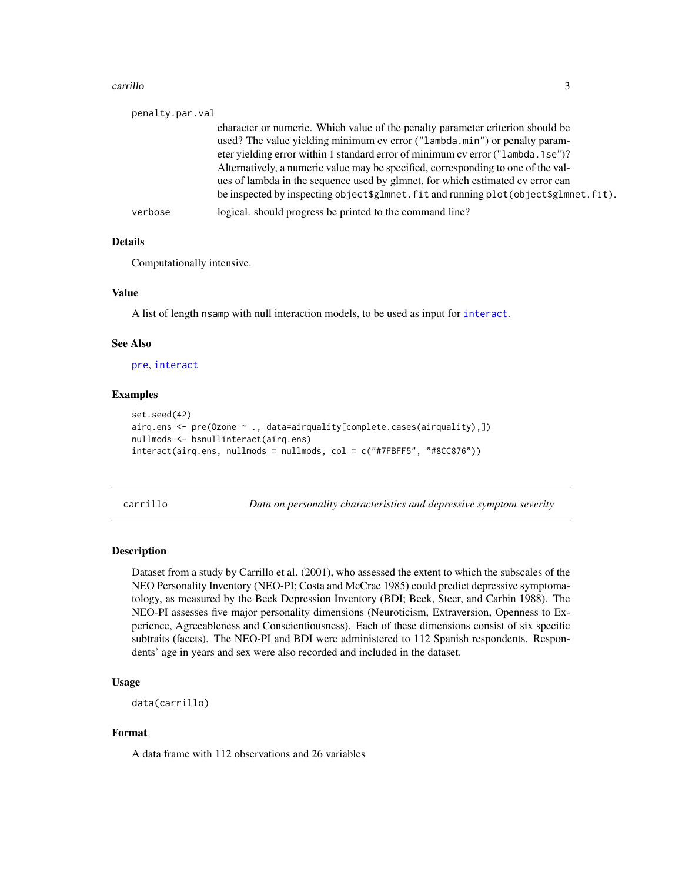#### <span id="page-2-0"></span>carrillo 3

| penalty.par.val |                                                                                          |
|-----------------|------------------------------------------------------------------------------------------|
|                 | character or numeric. Which value of the penalty parameter criterion should be           |
|                 | used? The value yielding minimum cv error ("lambda.min") or penalty param-               |
|                 | eter yielding error within 1 standard error of minimum cv error ("lambda. 1se")?         |
|                 | Alternatively, a numeric value may be specified, corresponding to one of the val-        |
|                 | ues of lambda in the sequence used by glmnet, for which estimated cv error can           |
|                 | be inspected by inspecting object \$glmnet. fit and running plot (object \$glmnet. fit). |
| verbose         | logical. should progress be printed to the command line?                                 |

#### **Details**

Computationally intensive.

#### Value

A list of length nsamp with null interaction models, to be used as input for [interact](#page-15-1).

#### See Also

[pre](#page-21-1), [interact](#page-15-1)

#### Examples

```
set.seed(42)
airq.ens <- pre(Ozone ~ ., data=airquality[complete.cases(airquality),])
nullmods <- bsnullinteract(airq.ens)
interact(airq.ens, nullmods = nullmods, col = c("#7FBFF5", "#8CC876"))
```
carrillo *Data on personality characteristics and depressive symptom severity*

#### Description

Dataset from a study by Carrillo et al. (2001), who assessed the extent to which the subscales of the NEO Personality Inventory (NEO-PI; Costa and McCrae 1985) could predict depressive symptomatology, as measured by the Beck Depression Inventory (BDI; Beck, Steer, and Carbin 1988). The NEO-PI assesses five major personality dimensions (Neuroticism, Extraversion, Openness to Experience, Agreeableness and Conscientiousness). Each of these dimensions consist of six specific subtraits (facets). The NEO-PI and BDI were administered to 112 Spanish respondents. Respondents' age in years and sex were also recorded and included in the dataset.

#### Usage

```
data(carrillo)
```
#### Format

A data frame with 112 observations and 26 variables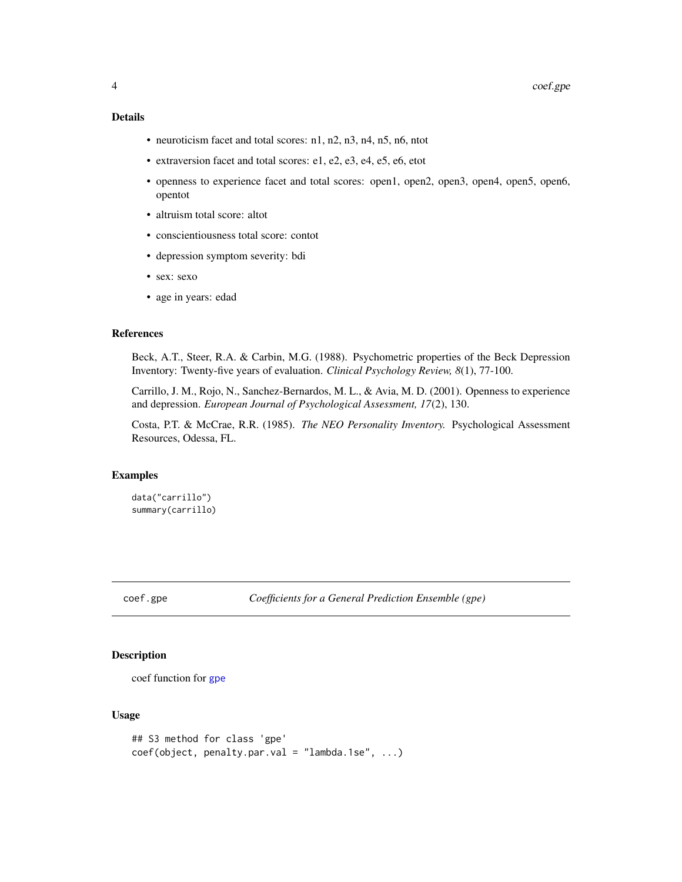#### <span id="page-3-0"></span>Details

- neuroticism facet and total scores: n1, n2, n3, n4, n5, n6, ntot
- extraversion facet and total scores: e1, e2, e3, e4, e5, e6, etot
- openness to experience facet and total scores: open1, open2, open3, open4, open5, open6, opentot
- altruism total score: altot
- conscientiousness total score: contot
- depression symptom severity: bdi
- sex: sexo
- age in years: edad

#### References

Beck, A.T., Steer, R.A. & Carbin, M.G. (1988). Psychometric properties of the Beck Depression Inventory: Twenty-five years of evaluation. *Clinical Psychology Review, 8*(1), 77-100.

Carrillo, J. M., Rojo, N., Sanchez-Bernardos, M. L., & Avia, M. D. (2001). Openness to experience and depression. *European Journal of Psychological Assessment, 17*(2), 130.

Costa, P.T. & McCrae, R.R. (1985). *The NEO Personality Inventory.* Psychological Assessment Resources, Odessa, FL.

#### Examples

```
data("carrillo")
summary(carrillo)
```
coef.gpe *Coefficients for a General Prediction Ensemble (gpe)*

#### Description

coef function for [gpe](#page-7-1)

#### Usage

```
## S3 method for class 'gpe'
coef(object, penalty.par.val = "lambda.1se", ...)
```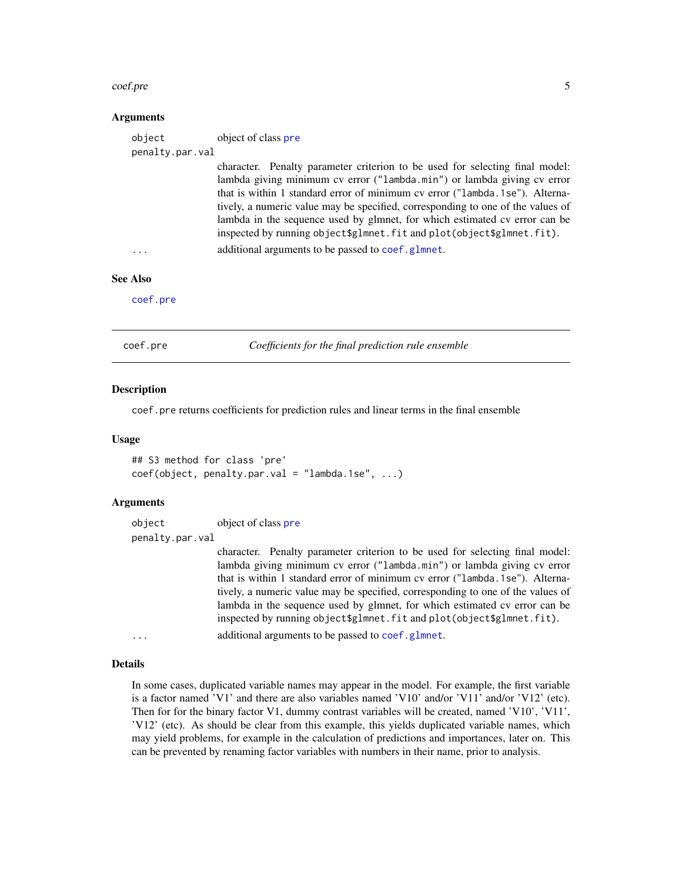#### <span id="page-4-0"></span>coef.pre 5

#### Arguments

| object          | object of class pre                                                                                                                                                                                                                                                                                                                                                                                                                                                               |
|-----------------|-----------------------------------------------------------------------------------------------------------------------------------------------------------------------------------------------------------------------------------------------------------------------------------------------------------------------------------------------------------------------------------------------------------------------------------------------------------------------------------|
| penalty.par.val |                                                                                                                                                                                                                                                                                                                                                                                                                                                                                   |
|                 | character. Penalty parameter criterion to be used for selecting final model:<br>lambda giving minimum cv error ("lambda.min") or lambda giving cv error<br>that is within 1 standard error of minimum cv error ("lambda.1se"). Alterna-<br>tively, a numeric value may be specified, corresponding to one of the values of<br>lambda in the sequence used by glmnet, for which estimated cv error can be<br>inspected by running object\$glmnet.fit and plot(object\$glmnet.fit). |
| $\cdots$        | additional arguments to be passed to coef.glmnet.                                                                                                                                                                                                                                                                                                                                                                                                                                 |
| <b>See Also</b> |                                                                                                                                                                                                                                                                                                                                                                                                                                                                                   |

[coef.pre](#page-4-1)

<span id="page-4-1"></span>coef.pre *Coefficients for the final prediction rule ensemble*

#### Description

coef.pre returns coefficients for prediction rules and linear terms in the final ensemble

#### Usage

```
## S3 method for class 'pre'
coef(object, penalty.par.val = "lambda.1se", ...)
```
#### Arguments

| object          | object of class pre                                                                                                                                     |
|-----------------|---------------------------------------------------------------------------------------------------------------------------------------------------------|
| penalty.par.val |                                                                                                                                                         |
|                 | character. Penalty parameter criterion to be used for selecting final model:                                                                            |
|                 | lambda giving minimum cv error ("lambda.min") or lambda giving cv error                                                                                 |
|                 | that is within 1 standard error of minimum cv error ("lambda. 1se"). Alterna-                                                                           |
|                 | tively, a numeric value may be specified, corresponding to one of the values of                                                                         |
|                 | lambda in the sequence used by glmnet, for which estimated cv error can be<br>inspected by running object \$g1mnet. fit and plot(object \$g1mnet. fit). |
| $\cdots$        | additional arguments to be passed to coef.glmnet.                                                                                                       |

#### Details

In some cases, duplicated variable names may appear in the model. For example, the first variable is a factor named 'V1' and there are also variables named 'V10' and/or 'V11' and/or 'V12' (etc). Then for for the binary factor V1, dummy contrast variables will be created, named 'V10', 'V11', 'V12' (etc). As should be clear from this example, this yields duplicated variable names, which may yield problems, for example in the calculation of predictions and importances, later on. This can be prevented by renaming factor variables with numbers in their name, prior to analysis.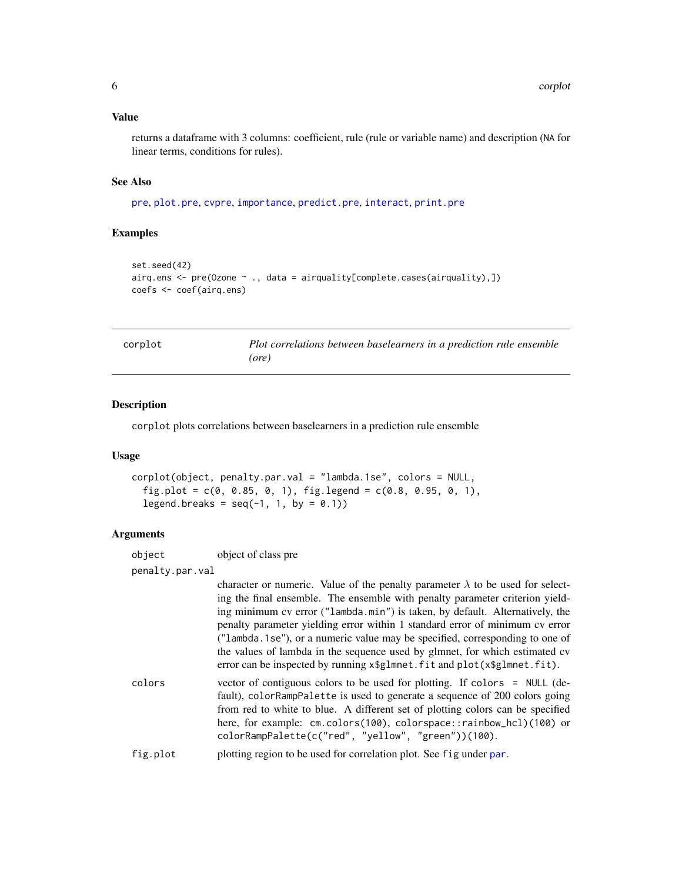#### <span id="page-5-0"></span>Value

returns a dataframe with 3 columns: coefficient, rule (rule or variable name) and description (NA for linear terms, conditions for rules).

#### See Also

[pre](#page-21-1), [plot.pre](#page-20-1), [cvpre](#page-6-1), [importance](#page-13-1), [predict.pre](#page-25-1), [interact](#page-15-1), [print.pre](#page-27-1)

#### Examples

```
set.seed(42)
airq.ens <- pre(Ozone ~ ., data = airquality[complete.cases(airquality),])
coefs <- coef(airq.ens)
```

| corplot | Plot correlations between baselearners in a prediction rule ensemble |  |  |
|---------|----------------------------------------------------------------------|--|--|
|         | (ore)                                                                |  |  |

#### Description

corplot plots correlations between baselearners in a prediction rule ensemble

#### Usage

```
corplot(object, penalty.par.val = "lambda.1se", colors = NULL,
  fig.plot = c(0, 0.85, 0, 1), fig.legend = c(0.8, 0.95, 0, 1),
  legend.breaks = seq(-1, 1, by = 0.1)
```
#### Arguments

| object          | object of class pre                                                                                                                                                                                                                                                                                                                                                                                                                                                                                                                                                                |
|-----------------|------------------------------------------------------------------------------------------------------------------------------------------------------------------------------------------------------------------------------------------------------------------------------------------------------------------------------------------------------------------------------------------------------------------------------------------------------------------------------------------------------------------------------------------------------------------------------------|
| penalty.par.val |                                                                                                                                                                                                                                                                                                                                                                                                                                                                                                                                                                                    |
|                 | character or numeric. Value of the penalty parameter $\lambda$ to be used for select-<br>ing the final ensemble. The ensemble with penalty parameter criterion yield-<br>ing minimum cv error ("lambda.min") is taken, by default. Alternatively, the<br>penalty parameter yielding error within 1 standard error of minimum cv error<br>("lambda.1se"), or a numeric value may be specified, corresponding to one of<br>the values of lambda in the sequence used by glmnet, for which estimated cv<br>error can be inspected by running x\$g1mnet. fit and plot(x\$g1mnet. fit). |
| colors          | vector of contiguous colors to be used for plotting. If colors = NULL (de-<br>fault), colorRampPalette is used to generate a sequence of 200 colors going<br>from red to white to blue. A different set of plotting colors can be specified<br>here, for example: cm.colors(100), colorspace::rainbow_hcl)(100) or<br>colorRampPalette(c("red", "yellow", "green"))(100).                                                                                                                                                                                                          |
| fig.plot        | plotting region to be used for correlation plot. See fig under par.                                                                                                                                                                                                                                                                                                                                                                                                                                                                                                                |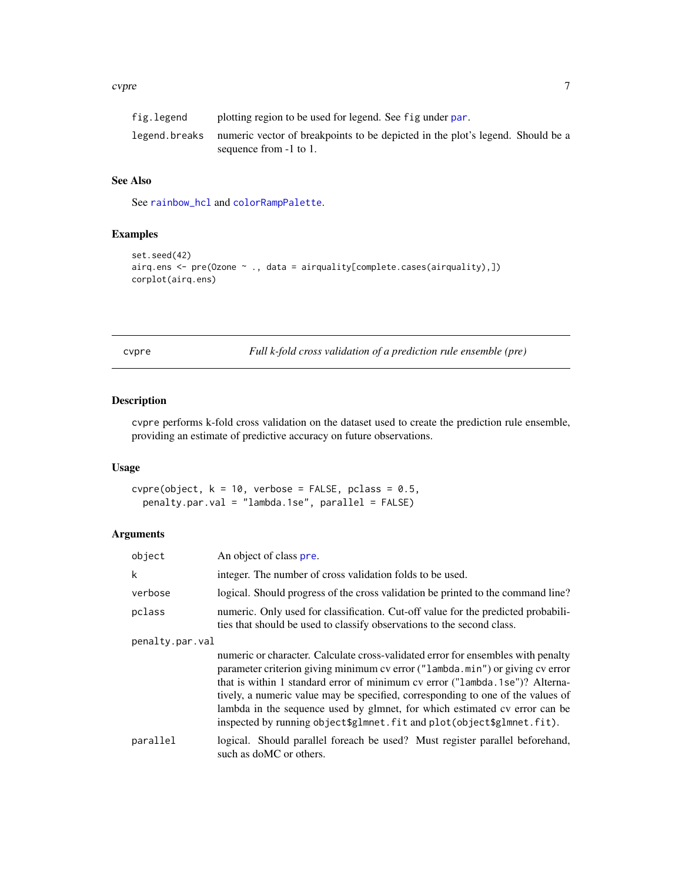#### <span id="page-6-0"></span>cvpre to the contract of the contract of the contract of the contract of the contract of the contract of the contract of the contract of the contract of the contract of the contract of the contract of the contract of the c

| fig.legend | plotting region to be used for legend. See fig under par.                                                               |
|------------|-------------------------------------------------------------------------------------------------------------------------|
|            | legend, breaks numeric vector of breakpoints to be depicted in the plot's legend. Should be a<br>sequence from -1 to 1. |

#### See Also

See [rainbow\\_hcl](#page-0-0) and [colorRampPalette](#page-0-0).

#### Examples

```
set.seed(42)
airq.ens <- pre(Ozone ~ ., data = airquality[complete.cases(airquality),])
corplot(airq.ens)
```
<span id="page-6-1"></span>

cvpre *Full k-fold cross validation of a prediction rule ensemble (pre)*

#### Description

cvpre performs k-fold cross validation on the dataset used to create the prediction rule ensemble, providing an estimate of predictive accuracy on future observations.

#### Usage

 $cvpre(object, k = 10, verbose = FALSE, polass = 0.5,$ penalty.par.val = "lambda.1se", parallel = FALSE)

#### Arguments

| object          | An object of class pre.                                                                                                                                                                                                                                                                                                                                                                                                                                                                     |
|-----------------|---------------------------------------------------------------------------------------------------------------------------------------------------------------------------------------------------------------------------------------------------------------------------------------------------------------------------------------------------------------------------------------------------------------------------------------------------------------------------------------------|
| k               | integer. The number of cross validation folds to be used.                                                                                                                                                                                                                                                                                                                                                                                                                                   |
| verbose         | logical. Should progress of the cross validation be printed to the command line?                                                                                                                                                                                                                                                                                                                                                                                                            |
| pclass          | numeric. Only used for classification. Cut-off value for the predicted probabili-<br>ties that should be used to classify observations to the second class.                                                                                                                                                                                                                                                                                                                                 |
| penalty.par.val |                                                                                                                                                                                                                                                                                                                                                                                                                                                                                             |
|                 | numeric or character. Calculate cross-validated error for ensembles with penalty<br>parameter criterion giving minimum cv error ("lambda.min") or giving cv error<br>that is within 1 standard error of minimum cv error ("lambda.1se")? Alterna-<br>tively, a numeric value may be specified, corresponding to one of the values of<br>lambda in the sequence used by glmnet, for which estimated cv error can be<br>inspected by running object\$glmnet.fit and plot(object\$glmnet.fit). |
| parallel        | logical. Should parallel foreach be used? Must register parallel beforehand,<br>such as doMC or others.                                                                                                                                                                                                                                                                                                                                                                                     |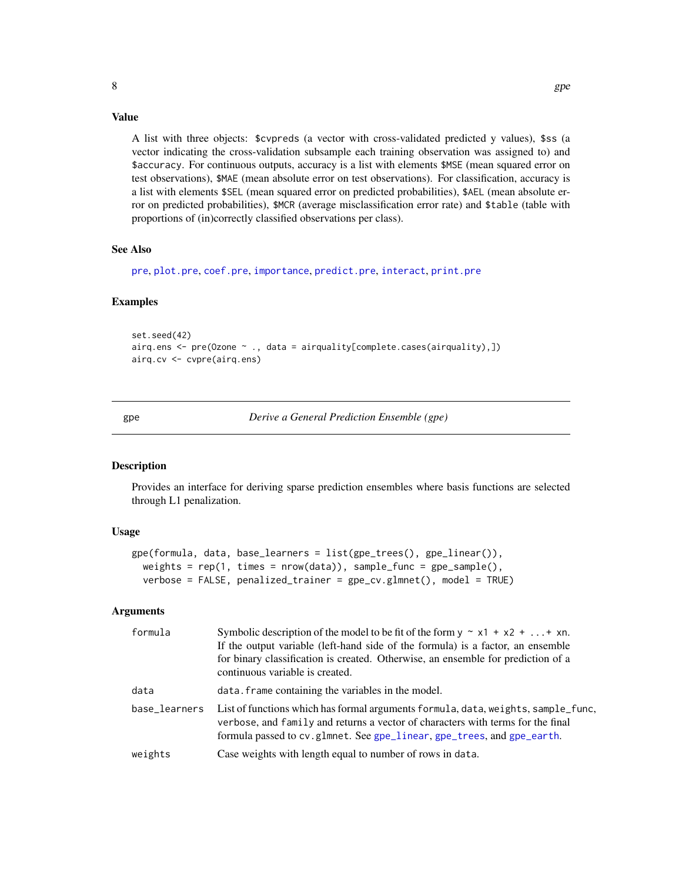#### Value

A list with three objects: \$cvpreds (a vector with cross-validated predicted y values), \$ss (a vector indicating the cross-validation subsample each training observation was assigned to) and \$accuracy. For continuous outputs, accuracy is a list with elements \$MSE (mean squared error on test observations), \$MAE (mean absolute error on test observations). For classification, accuracy is a list with elements \$SEL (mean squared error on predicted probabilities), \$AEL (mean absolute error on predicted probabilities), \$MCR (average misclassification error rate) and \$table (table with proportions of (in)correctly classified observations per class).

#### See Also

[pre](#page-21-1), [plot.pre](#page-20-1), [coef.pre](#page-4-1), [importance](#page-13-1), [predict.pre](#page-25-1), [interact](#page-15-1), [print.pre](#page-27-1)

#### Examples

```
set.seed(42)
airq.ens <- pre(Ozone ~ ., data = airquality[complete.cases(airquality),])
airq.cv <- cvpre(airq.ens)
```
<span id="page-7-1"></span>gpe *Derive a General Prediction Ensemble (gpe)*

#### **Description**

Provides an interface for deriving sparse prediction ensembles where basis functions are selected through L1 penalization.

#### Usage

```
gpe(formula, data, base_learners = list(gpe_trees(), gpe_linear()),
 weights = rep(1, \text{ times} = new(data)), sample_function = gpe_sample(),verbose = FALSE, penalized_trainer = gpe_cv.glmnet(), model = TRUE)
```
#### Arguments

| formula       | Symbolic description of the model to be fit of the form $y \sim x1 + x2 +  + xn$ .<br>If the output variable (left-hand side of the formula) is a factor, an ensemble<br>for binary classification is created. Otherwise, an ensemble for prediction of a<br>continuous variable is created. |
|---------------|----------------------------------------------------------------------------------------------------------------------------------------------------------------------------------------------------------------------------------------------------------------------------------------------|
| data          | data. frame containing the variables in the model.                                                                                                                                                                                                                                           |
| base_learners | List of functions which has formal arguments formula, data, weights, sample_func,<br>verbose, and family and returns a vector of characters with terms for the final<br>formula passed to cv.glmnet. See gpe_linear, gpe_trees, and gpe_earth.                                               |
| weights       | Case weights with length equal to number of rows in data.                                                                                                                                                                                                                                    |

<span id="page-7-0"></span>8 and 2011 and 2012 and 2012 and 2012 and 2012 and 2012 and 2012 and 2012 and 2012 and 2012 and 201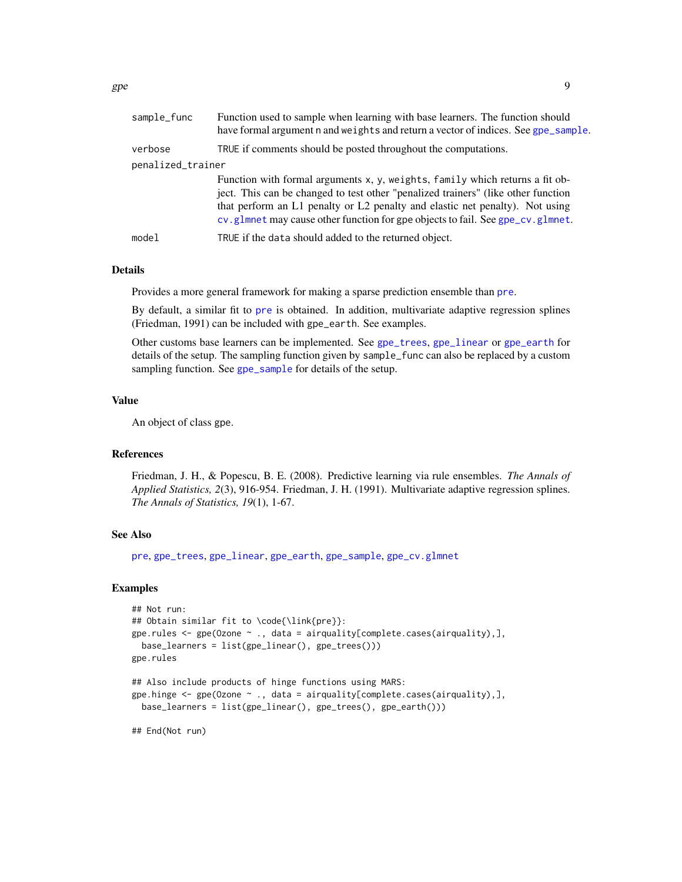<span id="page-8-0"></span>

| sample_func       | Function used to sample when learning with base learners. The function should<br>have formal argument n and weights and return a vector of indices. See gpe_sample.                                                                                                                                                                 |
|-------------------|-------------------------------------------------------------------------------------------------------------------------------------------------------------------------------------------------------------------------------------------------------------------------------------------------------------------------------------|
| verbose           | TRUE if comments should be posted throughout the computations.                                                                                                                                                                                                                                                                      |
| penalized_trainer |                                                                                                                                                                                                                                                                                                                                     |
|                   | Function with formal arguments x, y, weights, family which returns a fit ob-<br>ject. This can be changed to test other "penalized trainers" (like other function<br>that perform an L1 penalty or L2 penalty and elastic net penalty). Not using<br>cv.glmnet may cause other function for gpe objects to fail. See gpe_cv.glmnet. |
| model             | TRUE if the data should added to the returned object.                                                                                                                                                                                                                                                                               |
|                   |                                                                                                                                                                                                                                                                                                                                     |

#### Details

Provides a more general framework for making a sparse prediction ensemble than [pre](#page-21-1).

By default, a similar fit to [pre](#page-21-1) is obtained. In addition, multivariate adaptive regression splines (Friedman, 1991) can be included with gpe\_earth. See examples.

Other customs base learners can be implemented. See [gpe\\_trees](#page-11-2), [gpe\\_linear](#page-11-1) or [gpe\\_earth](#page-11-1) for details of the setup. The sampling function given by sample\_func can also be replaced by a custom sampling function. See [gpe\\_sample](#page-11-3) for details of the setup.

#### Value

An object of class gpe.

#### References

Friedman, J. H., & Popescu, B. E. (2008). Predictive learning via rule ensembles. *The Annals of Applied Statistics, 2*(3), 916-954. Friedman, J. H. (1991). Multivariate adaptive regression splines. *The Annals of Statistics, 19*(1), 1-67.

#### See Also

[pre](#page-21-1), [gpe\\_trees](#page-11-2), [gpe\\_linear](#page-11-1), [gpe\\_earth](#page-11-1), [gpe\\_sample](#page-11-3), [gpe\\_cv.glmnet](#page-9-1)

#### Examples

```
## Not run:
## Obtain similar fit to \code{\link{pre}}:
gpe.rules <- gpe(Ozone ~ ., data = airquality[complete.cases(airquality),],
 base_learners = list(gpe_linear(), gpe_trees()))
gpe.rules
## Also include products of hinge functions using MARS:
gpe.hinge <- gpe(Ozone ~ ., data = airquality[complete.cases(airquality),],
 base_learners = list(gpe_linear(), gpe_trees(), gpe_earth()))
```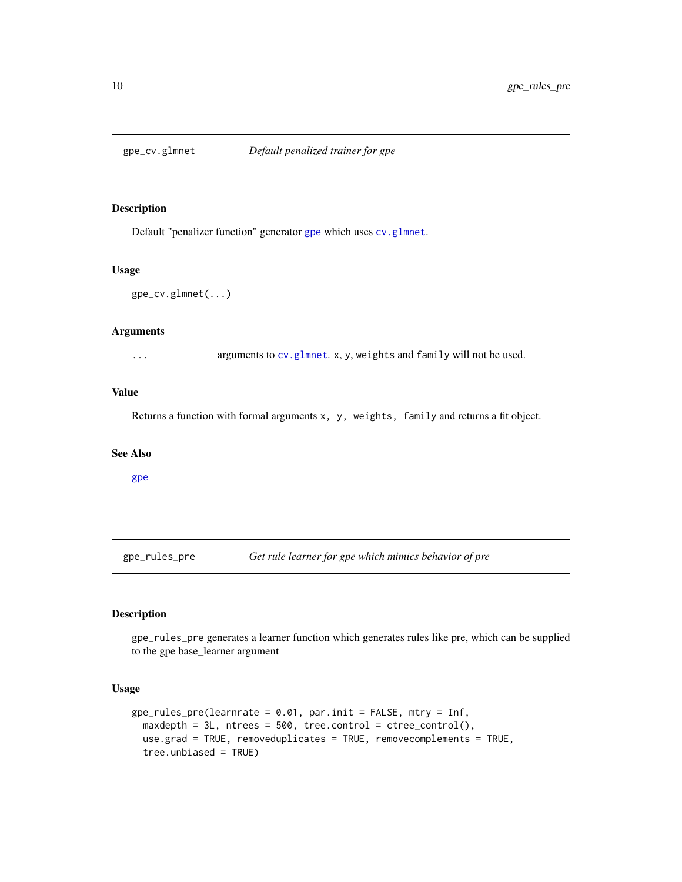<span id="page-9-1"></span><span id="page-9-0"></span>

#### Description

Default "penalizer function" generator [gpe](#page-7-1) which uses [cv.glmnet](#page-0-0).

#### Usage

```
gpe_cv.glmnet(...)
```
#### Arguments

... arguments to [cv.glmnet](#page-0-0). x, y, weights and family will not be used.

#### Value

Returns a function with formal arguments x, y, weights, family and returns a fit object.

#### See Also

[gpe](#page-7-1)

gpe\_rules\_pre *Get rule learner for gpe which mimics behavior of pre*

#### Description

gpe\_rules\_pre generates a learner function which generates rules like pre, which can be supplied to the gpe base\_learner argument

#### Usage

```
gpe_rules_pre(learnrate = 0.01, par.init = FALSE, mtry = Inf,
 maxdepth = 3L, ntrees = 500, tree.control = ctree_control(),
 use.grad = TRUE, removeduplicates = TRUE, removecomplements = TRUE,
  tree.unbiased = TRUE)
```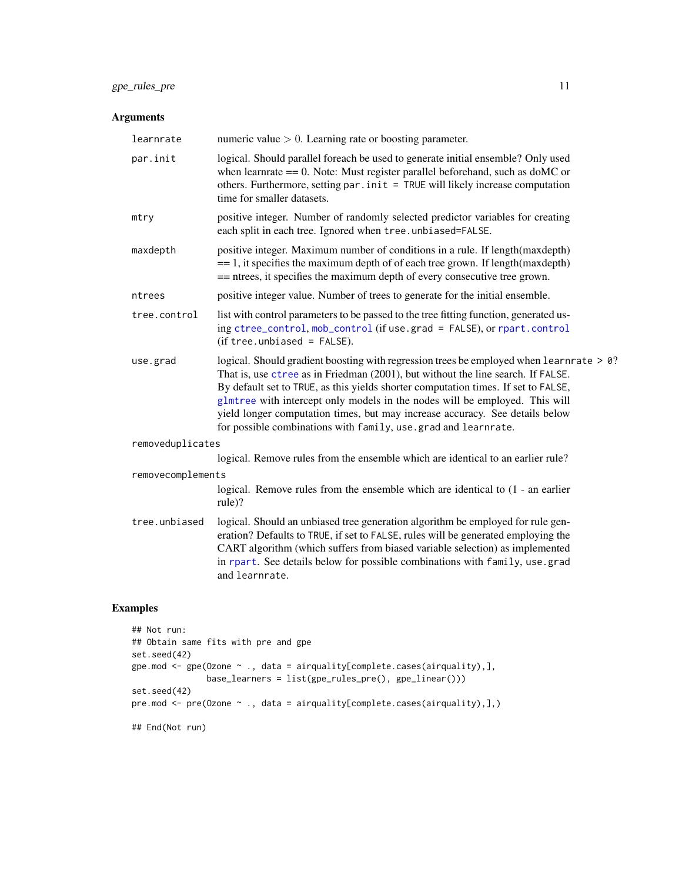#### <span id="page-10-0"></span>gpe\_rules\_pre 11

#### Arguments

| learnrate                                                                                                                                                                                                                                                                                                                                                              | numeric value $> 0$ . Learning rate or boosting parameter.                                                                                                                                                                                                                                                                                                                                                                                                                                         |  |  |  |
|------------------------------------------------------------------------------------------------------------------------------------------------------------------------------------------------------------------------------------------------------------------------------------------------------------------------------------------------------------------------|----------------------------------------------------------------------------------------------------------------------------------------------------------------------------------------------------------------------------------------------------------------------------------------------------------------------------------------------------------------------------------------------------------------------------------------------------------------------------------------------------|--|--|--|
| par.init                                                                                                                                                                                                                                                                                                                                                               | logical. Should parallel foreach be used to generate initial ensemble? Only used<br>when learn rate $== 0$ . Note: Must register parallel beforehand, such as do MC or<br>others. Furthermore, setting par . init = TRUE will likely increase computation<br>time for smaller datasets.                                                                                                                                                                                                            |  |  |  |
| mtry                                                                                                                                                                                                                                                                                                                                                                   | positive integer. Number of randomly selected predictor variables for creating<br>each split in each tree. Ignored when tree.unbiased=FALSE.                                                                                                                                                                                                                                                                                                                                                       |  |  |  |
| maxdepth                                                                                                                                                                                                                                                                                                                                                               | positive integer. Maximum number of conditions in a rule. If length (maxdepth)<br>$== 1$ , it specifies the maximum depth of of each tree grown. If length (maxdepth)<br>== ntrees, it specifies the maximum depth of every consecutive tree grown.                                                                                                                                                                                                                                                |  |  |  |
| ntrees                                                                                                                                                                                                                                                                                                                                                                 | positive integer value. Number of trees to generate for the initial ensemble.                                                                                                                                                                                                                                                                                                                                                                                                                      |  |  |  |
| tree.control                                                                                                                                                                                                                                                                                                                                                           | list with control parameters to be passed to the tree fitting function, generated us-<br>ing ctree_control, mob_control (if use.grad = FALSE), or rpart.control<br>$(if tree. unbiased = FALSE).$                                                                                                                                                                                                                                                                                                  |  |  |  |
| use.grad                                                                                                                                                                                                                                                                                                                                                               | logical. Should gradient boosting with regression trees be employed when learnrate > 0?<br>That is, use ctree as in Friedman (2001), but without the line search. If FALSE.<br>By default set to TRUE, as this yields shorter computation times. If set to FALSE,<br>glmtree with intercept only models in the nodes will be employed. This will<br>yield longer computation times, but may increase accuracy. See details below<br>for possible combinations with family, use.grad and learnrate. |  |  |  |
| removeduplicates                                                                                                                                                                                                                                                                                                                                                       |                                                                                                                                                                                                                                                                                                                                                                                                                                                                                                    |  |  |  |
|                                                                                                                                                                                                                                                                                                                                                                        | logical. Remove rules from the ensemble which are identical to an earlier rule?                                                                                                                                                                                                                                                                                                                                                                                                                    |  |  |  |
| removecomplements                                                                                                                                                                                                                                                                                                                                                      |                                                                                                                                                                                                                                                                                                                                                                                                                                                                                                    |  |  |  |
|                                                                                                                                                                                                                                                                                                                                                                        | logical. Remove rules from the ensemble which are identical to $(1 - an earlier)$<br>rule)?                                                                                                                                                                                                                                                                                                                                                                                                        |  |  |  |
| tree.unbiased<br>logical. Should an unbiased tree generation algorithm be employed for rule gen-<br>eration? Defaults to TRUE, if set to FALSE, rules will be generated employing the<br>CART algorithm (which suffers from biased variable selection) as implemented<br>in rpart. See details below for possible combinations with family, use grad<br>and learnrate. |                                                                                                                                                                                                                                                                                                                                                                                                                                                                                                    |  |  |  |
|                                                                                                                                                                                                                                                                                                                                                                        |                                                                                                                                                                                                                                                                                                                                                                                                                                                                                                    |  |  |  |

#### Examples

```
## Not run:
## Obtain same fits with pre and gpe
set.seed(42)
gpe.mod <- gpe(Ozone ~ ., data = airquality[complete.cases(airquality),],
              base_learners = list(gpe_rules_pre(), gpe_linear()))
set.seed(42)
pre.mod <- pre(Ozone ~ ., data = airquality[complete.cases(airquality),],)
## End(Not run)
```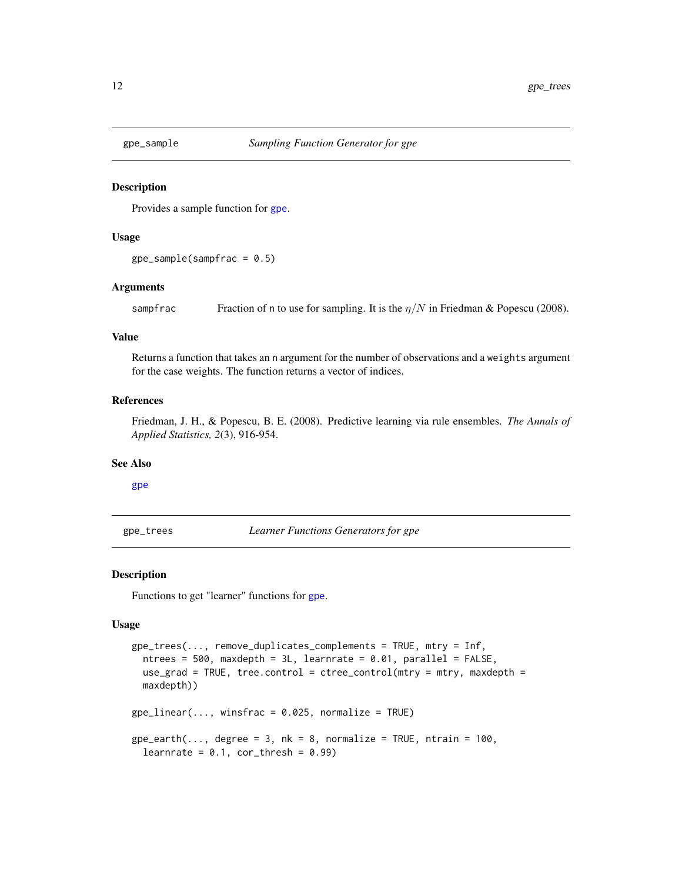<span id="page-11-3"></span><span id="page-11-0"></span>

#### Description

Provides a sample function for [gpe](#page-7-1).

#### Usage

 $gpe\_sample(sampfrac = 0.5)$ 

#### Arguments

sampfrac Fraction of n to use for sampling. It is the  $\eta/N$  in Friedman & Popescu (2008).

#### Value

Returns a function that takes an n argument for the number of observations and a weights argument for the case weights. The function returns a vector of indices.

#### References

Friedman, J. H., & Popescu, B. E. (2008). Predictive learning via rule ensembles. *The Annals of Applied Statistics, 2*(3), 916-954.

#### See Also

#### [gpe](#page-7-1)

<span id="page-11-2"></span>gpe\_trees *Learner Functions Generators for gpe*

#### <span id="page-11-1"></span>Description

Functions to get "learner" functions for [gpe](#page-7-1).

#### Usage

```
gpe_trees(..., remove_duplicates_complements = TRUE, mtry = Inf,
 ntrees = 500, maxdepth = 3L, learnrate = 0.01, parallel = FALSE,
 use_grad = TRUE, tree.control = ctree_control(mtry = mtry, maxdepth =
 maxdepth))
gpe_linear(..., winsfrac = 0.025, normalize = TRUE)
gpe\_earth(..., degree = 3, nk = 8, normalize = TRUE, ntrain = 100,learnrate = 0.1, cor_thresh = 0.99)
```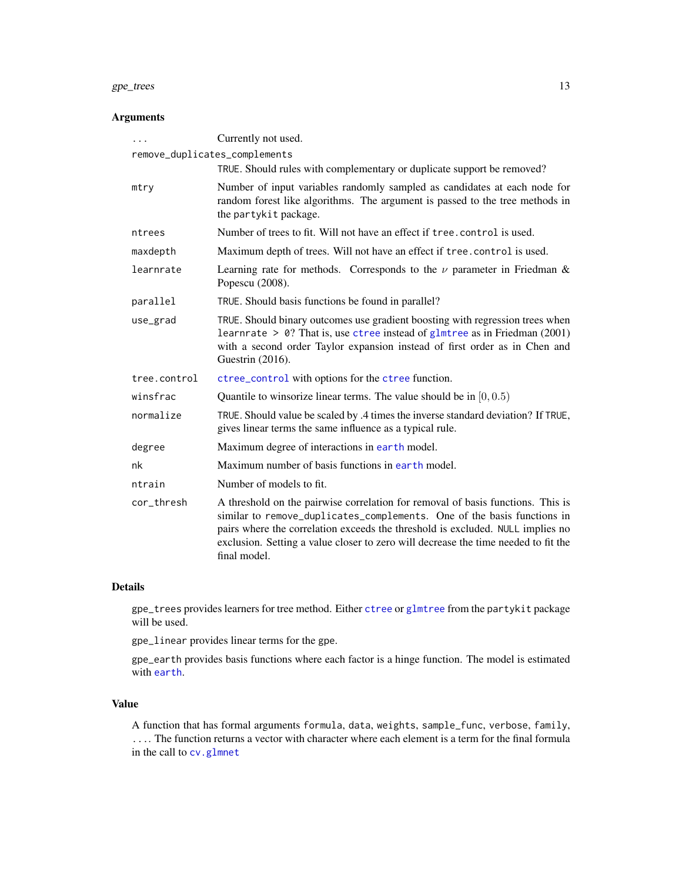#### <span id="page-12-0"></span>gpe\_trees 13

#### Arguments

| $\cdots$                                                                                                                                                                                                                                                                                                                                                         | Currently not used.                                                                                                                                                                                                                                                      |  |  |  |  |  |
|------------------------------------------------------------------------------------------------------------------------------------------------------------------------------------------------------------------------------------------------------------------------------------------------------------------------------------------------------------------|--------------------------------------------------------------------------------------------------------------------------------------------------------------------------------------------------------------------------------------------------------------------------|--|--|--|--|--|
| remove_duplicates_complements<br>TRUE. Should rules with complementary or duplicate support be removed?                                                                                                                                                                                                                                                          |                                                                                                                                                                                                                                                                          |  |  |  |  |  |
| mtry                                                                                                                                                                                                                                                                                                                                                             | Number of input variables randomly sampled as candidates at each node for<br>random forest like algorithms. The argument is passed to the tree methods in<br>the partykit package.                                                                                       |  |  |  |  |  |
| ntrees                                                                                                                                                                                                                                                                                                                                                           | Number of trees to fit. Will not have an effect if tree, control is used.                                                                                                                                                                                                |  |  |  |  |  |
| maxdepth                                                                                                                                                                                                                                                                                                                                                         | Maximum depth of trees. Will not have an effect if tree. control is used.                                                                                                                                                                                                |  |  |  |  |  |
| learnrate                                                                                                                                                                                                                                                                                                                                                        | Learning rate for methods. Corresponds to the $\nu$ parameter in Friedman &<br>Popescu (2008).                                                                                                                                                                           |  |  |  |  |  |
| parallel                                                                                                                                                                                                                                                                                                                                                         | TRUE. Should basis functions be found in parallel?                                                                                                                                                                                                                       |  |  |  |  |  |
| use_grad                                                                                                                                                                                                                                                                                                                                                         | TRUE. Should binary outcomes use gradient boosting with regression trees when<br>learnrate > $\theta$ ? That is, use ctree instead of glmtree as in Friedman (2001)<br>with a second order Taylor expansion instead of first order as in Chen and<br>Guestrin $(2016)$ . |  |  |  |  |  |
| tree.control                                                                                                                                                                                                                                                                                                                                                     | ctree_control with options for the ctree function.                                                                                                                                                                                                                       |  |  |  |  |  |
| winsfrac                                                                                                                                                                                                                                                                                                                                                         | Quantile to winsorize linear terms. The value should be in $[0, 0.5)$                                                                                                                                                                                                    |  |  |  |  |  |
| normalize                                                                                                                                                                                                                                                                                                                                                        | TRUE. Should value be scaled by .4 times the inverse standard deviation? If TRUE,<br>gives linear terms the same influence as a typical rule.                                                                                                                            |  |  |  |  |  |
| degree                                                                                                                                                                                                                                                                                                                                                           | Maximum degree of interactions in earth model.                                                                                                                                                                                                                           |  |  |  |  |  |
| nk                                                                                                                                                                                                                                                                                                                                                               | Maximum number of basis functions in earth model.                                                                                                                                                                                                                        |  |  |  |  |  |
| ntrain                                                                                                                                                                                                                                                                                                                                                           | Number of models to fit.                                                                                                                                                                                                                                                 |  |  |  |  |  |
| cor thresh<br>A threshold on the pairwise correlation for removal of basis functions. This is<br>similar to remove_duplicates_complements. One of the basis functions in<br>pairs where the correlation exceeds the threshold is excluded. NULL implies no<br>exclusion. Setting a value closer to zero will decrease the time needed to fit the<br>final model. |                                                                                                                                                                                                                                                                          |  |  |  |  |  |

#### Details

gpe\_trees provides learners for tree method. Either [ctree](#page-0-0) or [glmtree](#page-0-0) from the partykit package will be used.

gpe\_linear provides linear terms for the gpe.

gpe\_earth provides basis functions where each factor is a hinge function. The model is estimated with [earth](#page-0-0).

#### Value

A function that has formal arguments formula, data, weights, sample\_func, verbose, family, .... The function returns a vector with character where each element is a term for the final formula in the call to [cv.glmnet](#page-0-0)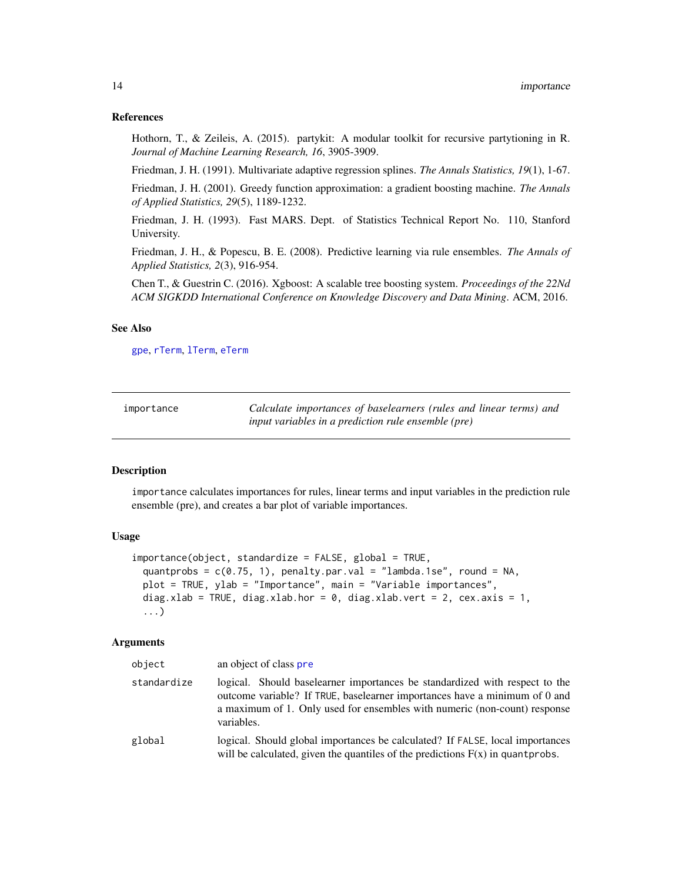#### <span id="page-13-0"></span>References

Hothorn, T., & Zeileis, A. (2015). partykit: A modular toolkit for recursive partytioning in R. *Journal of Machine Learning Research, 16*, 3905-3909.

Friedman, J. H. (1991). Multivariate adaptive regression splines. *The Annals Statistics, 19*(1), 1-67.

Friedman, J. H. (2001). Greedy function approximation: a gradient boosting machine. *The Annals of Applied Statistics, 29*(5), 1189-1232.

Friedman, J. H. (1993). Fast MARS. Dept. of Statistics Technical Report No. 110, Stanford University.

Friedman, J. H., & Popescu, B. E. (2008). Predictive learning via rule ensembles. *The Annals of Applied Statistics, 2*(3), 916-954.

Chen T., & Guestrin C. (2016). Xgboost: A scalable tree boosting system. *Proceedings of the 22Nd ACM SIGKDD International Conference on Knowledge Discovery and Data Mining*. ACM, 2016.

#### See Also

[gpe](#page-7-1), [rTerm](#page-28-1), [lTerm](#page-28-2), [eTerm](#page-28-2)

<span id="page-13-1"></span>

| importance | Calculate importances of baselearners (rules and linear terms) and |
|------------|--------------------------------------------------------------------|
|            | <i>input variables in a prediction rule ensemble (pre)</i>         |

#### Description

importance calculates importances for rules, linear terms and input variables in the prediction rule ensemble (pre), and creates a bar plot of variable importances.

#### Usage

```
importance(object, standardize = FALSE, global = TRUE,
 quantprobs = c(0.75, 1), penalty.par.val = "lambda.1se", round = NA,
 plot = TRUE, ylab = "Importance", main = "Variable importances",
 diag.xlab = TRUE, diag.xlab.hor = 0, diag.xlab.vert = 2, cex.axis = 1,
 ...)
```
#### Arguments

| object      | an object of class pre                                                                                                                                                                                                                               |  |  |  |
|-------------|------------------------------------------------------------------------------------------------------------------------------------------------------------------------------------------------------------------------------------------------------|--|--|--|
| standardize | logical. Should baselearner importances be standardized with respect to the<br>outcome variable? If TRUE, baselearner importances have a minimum of 0 and<br>a maximum of 1. Only used for ensembles with numeric (non-count) response<br>variables. |  |  |  |
| global      | logical. Should global importances be calculated? If FALSE, local importances<br>will be calculated, given the quantiles of the predictions $F(x)$ in quantprobs.                                                                                    |  |  |  |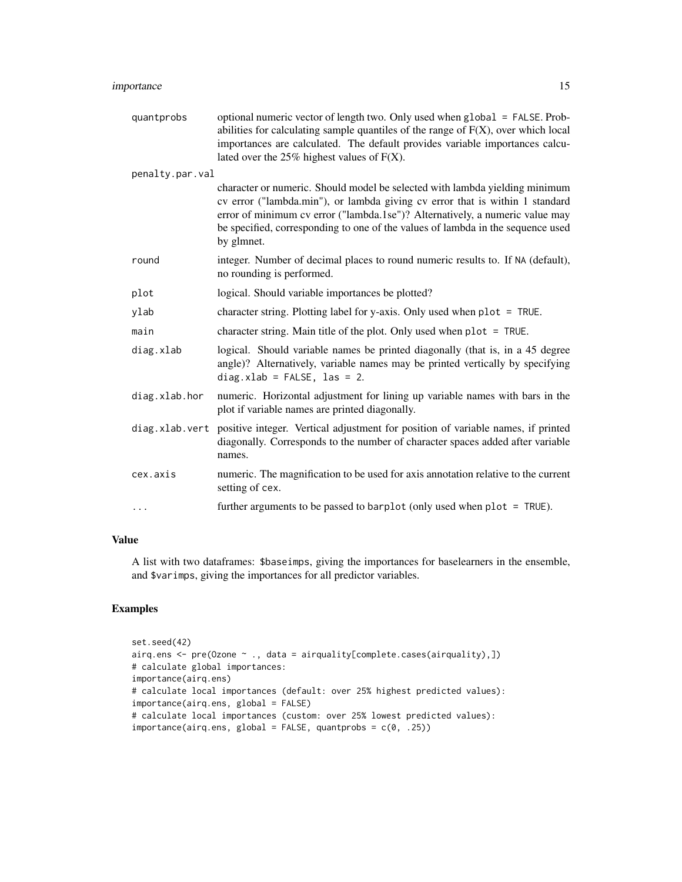#### importance 15

| quantprobs      | optional numeric vector of length two. Only used when global = FALSE. Prob-<br>abilities for calculating sample quantiles of the range of $F(X)$ , over which local<br>importances are calculated. The default provides variable importances calcu-<br>lated over the $25\%$ highest values of $F(X)$ .                                      |  |  |  |  |
|-----------------|----------------------------------------------------------------------------------------------------------------------------------------------------------------------------------------------------------------------------------------------------------------------------------------------------------------------------------------------|--|--|--|--|
| penalty.par.val |                                                                                                                                                                                                                                                                                                                                              |  |  |  |  |
|                 | character or numeric. Should model be selected with lambda yielding minimum<br>cv error ("lambda.min"), or lambda giving cv error that is within 1 standard<br>error of minimum cv error ("lambda.1se")? Alternatively, a numeric value may<br>be specified, corresponding to one of the values of lambda in the sequence used<br>by glmnet. |  |  |  |  |
| round           | integer. Number of decimal places to round numeric results to. If NA (default),<br>no rounding is performed.                                                                                                                                                                                                                                 |  |  |  |  |
| plot            | logical. Should variable importances be plotted?                                                                                                                                                                                                                                                                                             |  |  |  |  |
| ylab            | character string. Plotting label for y-axis. Only used when $plot = TRUE$ .                                                                                                                                                                                                                                                                  |  |  |  |  |
| main            | character string. Main title of the plot. Only used when plot = TRUE.                                                                                                                                                                                                                                                                        |  |  |  |  |
| diag.xlab       | logical. Should variable names be printed diagonally (that is, in a 45 degree<br>angle)? Alternatively, variable names may be printed vertically by specifying<br>$diag.xlab = FALSE, las = 2.$                                                                                                                                              |  |  |  |  |
| diag.xlab.hor   | numeric. Horizontal adjustment for lining up variable names with bars in the<br>plot if variable names are printed diagonally.                                                                                                                                                                                                               |  |  |  |  |
|                 | diag.xlab.vert positive integer. Vertical adjustment for position of variable names, if printed<br>diagonally. Corresponds to the number of character spaces added after variable<br>names.                                                                                                                                                  |  |  |  |  |
| cex.axis        | numeric. The magnification to be used for axis annotation relative to the current<br>setting of cex.                                                                                                                                                                                                                                         |  |  |  |  |
| $\cdots$        | further arguments to be passed to barplot (only used when $plot = TRUE$ ).                                                                                                                                                                                                                                                                   |  |  |  |  |

#### Value

A list with two dataframes: \$baseimps, giving the importances for baselearners in the ensemble, and \$varimps, giving the importances for all predictor variables.

#### Examples

```
set.seed(42)
airq.ens <- pre(Ozone ~ ., data = airquality[complete.cases(airquality),])
# calculate global importances:
importance(airq.ens)
# calculate local importances (default: over 25% highest predicted values):
importance(airq.ens, global = FALSE)
# calculate local importances (custom: over 25% lowest predicted values):
importance(airq.ens, global = FALSE, quantprobs = c(0, .25))
```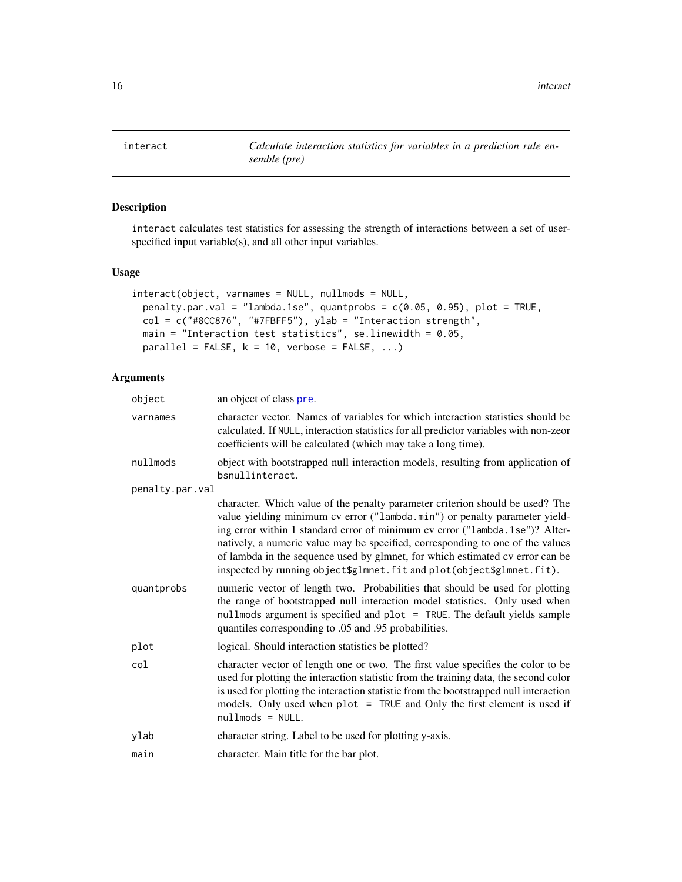<span id="page-15-1"></span><span id="page-15-0"></span>interact *Calculate interaction statistics for variables in a prediction rule ensemble (pre)*

#### Description

interact calculates test statistics for assessing the strength of interactions between a set of userspecified input variable(s), and all other input variables.

#### Usage

```
interact(object, varnames = NULL, nullmods = NULL,
 penalty.par.val = "lambda.1se", quantprobs = c(0.05, 0.95), plot = TRUE,
 col = c("#8CC876", "#7FBFF5"), ylab = "Interaction strength",main = "Interaction test statistics", se.linewidth = 0.05,
 parallel = FALSE, k = 10, verbose = FALSE, ...)
```
#### Arguments

| object          | an object of class pre.                                                                                                                                                                                                                                                                                                                                                                                                                                                                 |  |  |  |  |  |
|-----------------|-----------------------------------------------------------------------------------------------------------------------------------------------------------------------------------------------------------------------------------------------------------------------------------------------------------------------------------------------------------------------------------------------------------------------------------------------------------------------------------------|--|--|--|--|--|
| varnames        | character vector. Names of variables for which interaction statistics should be<br>calculated. If NULL, interaction statistics for all predictor variables with non-zeor<br>coefficients will be calculated (which may take a long time).                                                                                                                                                                                                                                               |  |  |  |  |  |
| nullmods        | object with bootstrapped null interaction models, resulting from application of<br>bsnullinteract.                                                                                                                                                                                                                                                                                                                                                                                      |  |  |  |  |  |
| penalty.par.val |                                                                                                                                                                                                                                                                                                                                                                                                                                                                                         |  |  |  |  |  |
|                 | character. Which value of the penalty parameter criterion should be used? The<br>value yielding minimum cv error ("lambda.min") or penalty parameter yield-<br>ing error within 1 standard error of minimum cv error ("lambda.1se")? Alter-<br>natively, a numeric value may be specified, corresponding to one of the values<br>of lambda in the sequence used by glmnet, for which estimated cv error can be<br>inspected by running object\$glmnet.fit and plot(object\$glmnet.fit). |  |  |  |  |  |
| quantprobs      | numeric vector of length two. Probabilities that should be used for plotting<br>the range of bootstrapped null interaction model statistics. Only used when<br>nullmods argument is specified and plot = TRUE. The default yields sample<br>quantiles corresponding to .05 and .95 probabilities.                                                                                                                                                                                       |  |  |  |  |  |
| plot            | logical. Should interaction statistics be plotted?                                                                                                                                                                                                                                                                                                                                                                                                                                      |  |  |  |  |  |
| col             | character vector of length one or two. The first value specifies the color to be<br>used for plotting the interaction statistic from the training data, the second color<br>is used for plotting the interaction statistic from the bootstrapped null interaction<br>models. Only used when plot = TRUE and Only the first element is used if<br>$nullmods = NULL.$                                                                                                                     |  |  |  |  |  |
| ylab            | character string. Label to be used for plotting y-axis.                                                                                                                                                                                                                                                                                                                                                                                                                                 |  |  |  |  |  |
| main            | character. Main title for the bar plot.                                                                                                                                                                                                                                                                                                                                                                                                                                                 |  |  |  |  |  |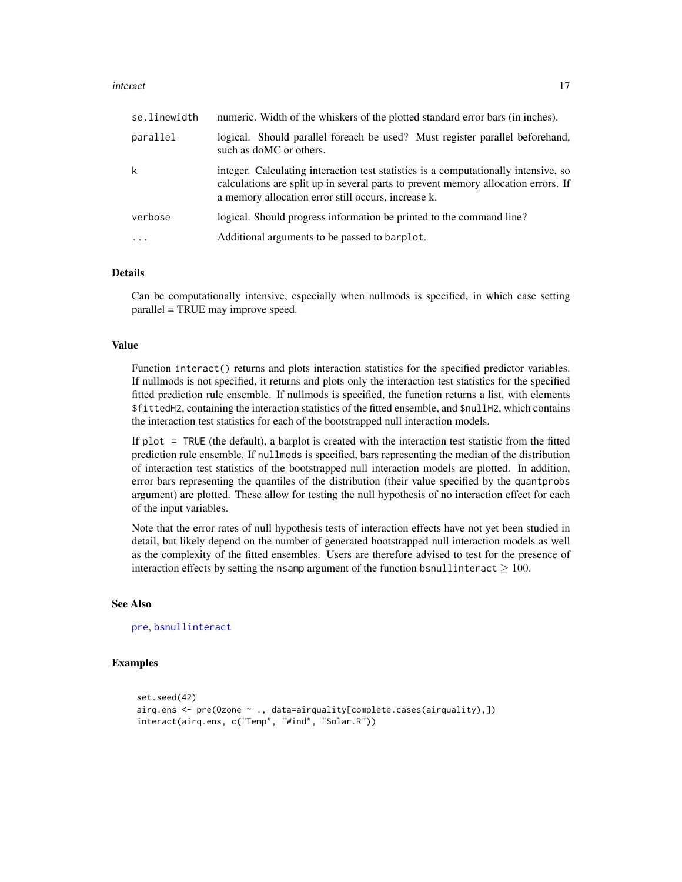#### <span id="page-16-0"></span>interact and the contract of the contract of the contract of the contract of the contract of the contract of the contract of the contract of the contract of the contract of the contract of the contract of the contract of t

| se.linewidth            | numeric. Width of the whiskers of the plotted standard error bars (in inches).                                                                                                                                                   |  |  |  |  |
|-------------------------|----------------------------------------------------------------------------------------------------------------------------------------------------------------------------------------------------------------------------------|--|--|--|--|
| parallel                | logical. Should parallel foreach be used? Must register parallel beforehand,<br>such as doMC or others.                                                                                                                          |  |  |  |  |
| k                       | integer. Calculating interaction test statistics is a computationally intensive, so<br>calculations are split up in several parts to prevent memory allocation errors. If<br>a memory allocation error still occurs, increase k. |  |  |  |  |
| verbose                 | logical. Should progress information be printed to the command line?                                                                                                                                                             |  |  |  |  |
| $\cdot$ $\cdot$ $\cdot$ | Additional arguments to be passed to barplot.                                                                                                                                                                                    |  |  |  |  |

#### Details

Can be computationally intensive, especially when nullmods is specified, in which case setting parallel = TRUE may improve speed.

#### Value

Function interact() returns and plots interaction statistics for the specified predictor variables. If nullmods is not specified, it returns and plots only the interaction test statistics for the specified fitted prediction rule ensemble. If nullmods is specified, the function returns a list, with elements \$fittedH2, containing the interaction statistics of the fitted ensemble, and \$nullH2, which contains the interaction test statistics for each of the bootstrapped null interaction models.

If plot = TRUE (the default), a barplot is created with the interaction test statistic from the fitted prediction rule ensemble. If nullmods is specified, bars representing the median of the distribution of interaction test statistics of the bootstrapped null interaction models are plotted. In addition, error bars representing the quantiles of the distribution (their value specified by the quantprobs argument) are plotted. These allow for testing the null hypothesis of no interaction effect for each of the input variables.

Note that the error rates of null hypothesis tests of interaction effects have not yet been studied in detail, but likely depend on the number of generated bootstrapped null interaction models as well as the complexity of the fitted ensembles. Users are therefore advised to test for the presence of interaction effects by setting the nsamp argument of the function bsnullinteract  $\geq 100$ .

#### See Also

[pre](#page-21-1), [bsnullinteract](#page-1-1)

#### Examples

```
set.seed(42)
airq.ens <- pre(Ozone ~ ., data=airquality[complete.cases(airquality),])
interact(airq.ens, c("Temp", "Wind", "Solar.R"))
```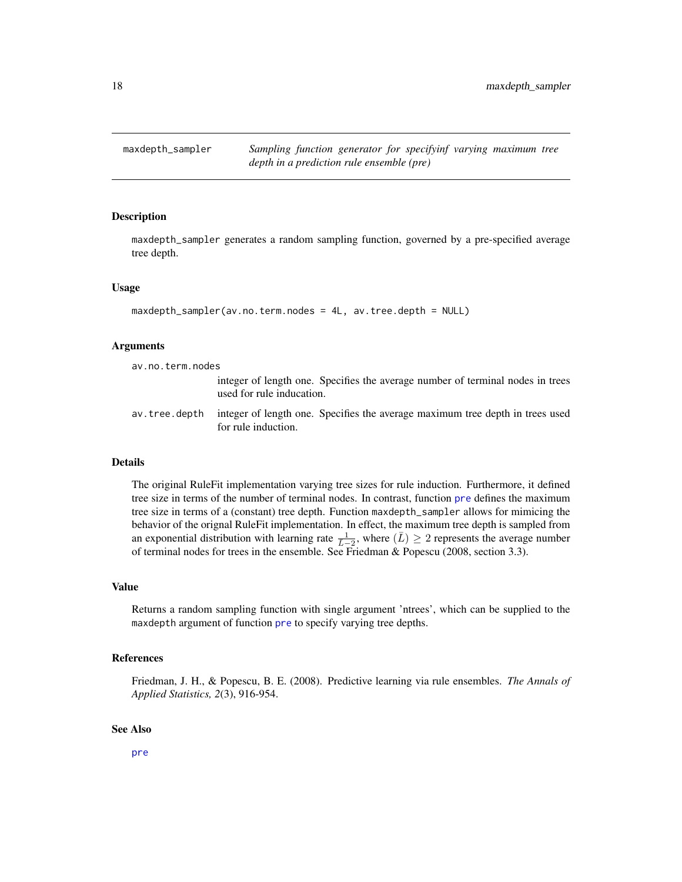<span id="page-17-1"></span><span id="page-17-0"></span>

#### Description

maxdepth\_sampler generates a random sampling function, governed by a pre-specified average tree depth.

#### Usage

```
maxdepth_sampler(av.no.term.nodes = 4L, av.tree.depth = NULL)
```
#### Arguments

av.no.term.nodes

- integer of length one. Specifies the average number of terminal nodes in trees used for rule inducation.
- av.tree.depth integer of length one. Specifies the average maximum tree depth in trees used for rule induction.

#### Details

The original RuleFit implementation varying tree sizes for rule induction. Furthermore, it defined tree size in terms of the number of terminal nodes. In contrast, function [pre](#page-21-1) defines the maximum tree size in terms of a (constant) tree depth. Function maxdepth\_sampler allows for mimicing the behavior of the orignal RuleFit implementation. In effect, the maximum tree depth is sampled from an exponential distribution with learning rate  $\frac{1}{L-2}$ , where  $(\overline{L}) \geq 2$  represents the average number of terminal nodes for trees in the ensemble. See Friedman & Popescu (2008, section 3.3).

#### Value

Returns a random sampling function with single argument 'ntrees', which can be supplied to the maxdepth argument of function [pre](#page-21-1) to specify varying tree depths.

#### References

Friedman, J. H., & Popescu, B. E. (2008). Predictive learning via rule ensembles. *The Annals of Applied Statistics, 2*(3), 916-954.

#### See Also

[pre](#page-21-1)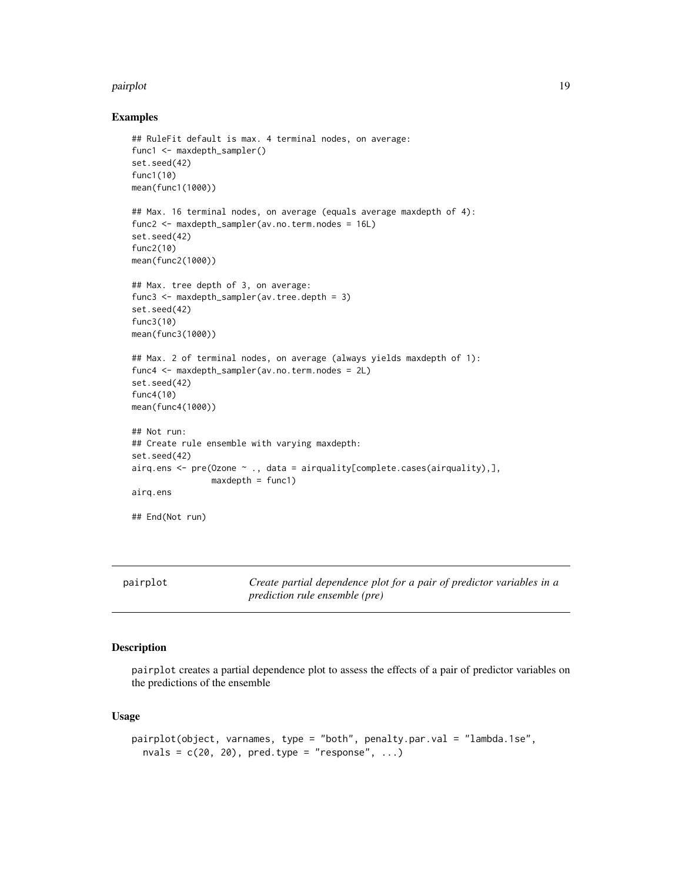#### <span id="page-18-0"></span>pairplot that the contract of the contract of the contract of the contract of the contract of the contract of the contract of the contract of the contract of the contract of the contract of the contract of the contract of

#### Examples

```
## RuleFit default is max. 4 terminal nodes, on average:
func1 <- maxdepth_sampler()
set.seed(42)
func1(10)
mean(func1(1000))
## Max. 16 terminal nodes, on average (equals average maxdepth of 4):
func2 <- maxdepth_sampler(av.no.term.nodes = 16L)
set.seed(42)
func2(10)
mean(func2(1000))
## Max. tree depth of 3, on average:
func3 <- maxdepth_sampler(av.tree.depth = 3)
set.seed(42)
func3(10)
mean(func3(1000))
## Max. 2 of terminal nodes, on average (always yields maxdepth of 1):
func4 <- maxdepth_sampler(av.no.term.nodes = 2L)
set.seed(42)
func4(10)
mean(func4(1000))
## Not run:
## Create rule ensemble with varying maxdepth:
set.seed(42)
airq.ens <- pre(Ozone ~ ., data = airquality[complete.cases(airquality),],
                maxdepth = func1)
airq.ens
## End(Not run)
```
<span id="page-18-1"></span>pairplot *Create partial dependence plot for a pair of predictor variables in a prediction rule ensemble (pre)*

#### Description

pairplot creates a partial dependence plot to assess the effects of a pair of predictor variables on the predictions of the ensemble

#### Usage

```
pairplot(object, varnames, type = "both", penalty.par.val = "lambda.1se",
  nvals = c(20, 20), pred.type = "response", ...)
```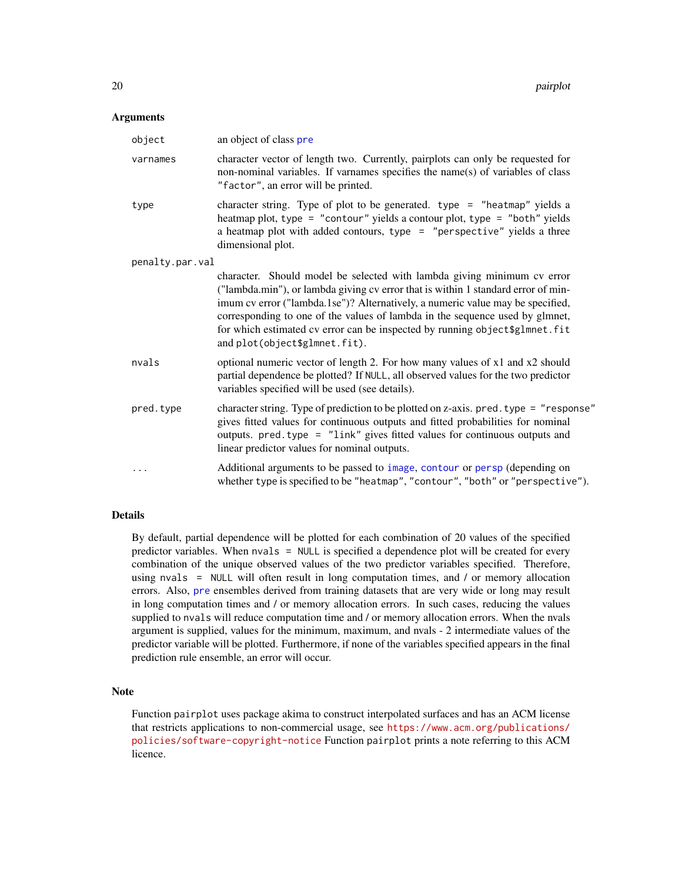#### <span id="page-19-0"></span>Arguments

| object          | an object of class pre                                                                                                                                                                                                                                                                                                                                                                                                                          |  |  |  |  |
|-----------------|-------------------------------------------------------------------------------------------------------------------------------------------------------------------------------------------------------------------------------------------------------------------------------------------------------------------------------------------------------------------------------------------------------------------------------------------------|--|--|--|--|
| varnames        | character vector of length two. Currently, pairplots can only be requested for<br>non-nominal variables. If varnames specifies the name(s) of variables of class<br>"factor", an error will be printed.                                                                                                                                                                                                                                         |  |  |  |  |
| type            | character string. Type of plot to be generated. type = "heatmap" yields a<br>heatmap plot, type = "contour" yields a contour plot, type = "both" yields<br>a heatmap plot with added contours, type $=$ "perspective" yields a three<br>dimensional plot.                                                                                                                                                                                       |  |  |  |  |
| penalty.par.val |                                                                                                                                                                                                                                                                                                                                                                                                                                                 |  |  |  |  |
|                 | character. Should model be selected with lambda giving minimum cv error<br>("lambda.min"), or lambda giving cv error that is within 1 standard error of min-<br>imum cv error ("lambda.1se")? Alternatively, a numeric value may be specified,<br>corresponding to one of the values of lambda in the sequence used by glmnet,<br>for which estimated cv error can be inspected by running object \$glmnet.fit<br>and plot(object\$glmnet.fit). |  |  |  |  |
| nvals           | optional numeric vector of length 2. For how many values of x1 and x2 should<br>partial dependence be plotted? If NULL, all observed values for the two predictor<br>variables specified will be used (see details).                                                                                                                                                                                                                            |  |  |  |  |
| pred.type       | character string. Type of prediction to be plotted on z-axis. pred. type = "response"<br>gives fitted values for continuous outputs and fitted probabilities for nominal<br>outputs. pred.type = "link" gives fitted values for continuous outputs and<br>linear predictor values for nominal outputs.                                                                                                                                          |  |  |  |  |
| $\cdots$        | Additional arguments to be passed to image, contour or persp (depending on<br>whether type is specified to be "heatmap", "contour", "both" or "perspective").                                                                                                                                                                                                                                                                                   |  |  |  |  |

#### Details

By default, partial dependence will be plotted for each combination of 20 values of the specified predictor variables. When nvals = NULL is specified a dependence plot will be created for every combination of the unique observed values of the two predictor variables specified. Therefore, using nvals = NULL will often result in long computation times, and / or memory allocation errors. Also, [pre](#page-21-1) ensembles derived from training datasets that are very wide or long may result in long computation times and / or memory allocation errors. In such cases, reducing the values supplied to nvals will reduce computation time and / or memory allocation errors. When the nvals argument is supplied, values for the minimum, maximum, and nvals - 2 intermediate values of the predictor variable will be plotted. Furthermore, if none of the variables specified appears in the final prediction rule ensemble, an error will occur.

#### Note

Function pairplot uses package akima to construct interpolated surfaces and has an ACM license that restricts applications to non-commercial usage, see [https://www.acm.org/publications/](https://www.acm.org/publications/policies/software-copyright-notice) [policies/software-copyright-notice](https://www.acm.org/publications/policies/software-copyright-notice) Function pairplot prints a note referring to this ACM licence.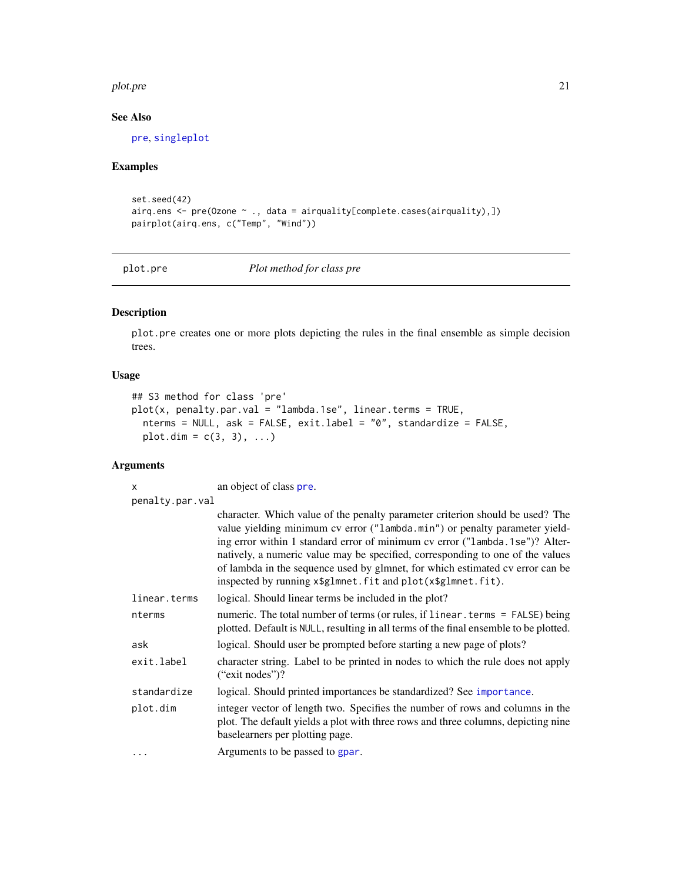#### <span id="page-20-0"></span>plot.pre 21

#### See Also

[pre](#page-21-1), [singleplot](#page-29-1)

#### Examples

```
set.seed(42)
airq.ens <- pre(Ozone ~ ., data = airquality[complete.cases(airquality),])
pairplot(airq.ens, c("Temp", "Wind"))
```
<span id="page-20-1"></span>

plot.pre *Plot method for class pre*

#### **Description**

plot.pre creates one or more plots depicting the rules in the final ensemble as simple decision trees.

#### Usage

```
## S3 method for class 'pre'
plot(x, penalty.par.val = "lambda.1se", linear.terms = TRUE,
  nterms = NULL, ask = FALSE, exit.label = "0", standardize = FALSE,
 plot.dim = c(3, 3), ...
```
#### Arguments

x an object of class [pre](#page-21-1). penalty.par.val character. Which value of the penalty parameter criterion should be used? The value yielding minimum cv error ("lambda.min") or penalty parameter yielding error within 1 standard error of minimum cv error ("lambda.1se")? Alternatively, a numeric value may be specified, corresponding to one of the values of lambda in the sequence used by glmnet, for which estimated cv error can be inspected by running x\$glmnet.fit and plot(x\$glmnet.fit). linear.terms logical. Should linear terms be included in the plot? nterms numeric. The total number of terms (or rules, if linear.terms = FALSE) being plotted. Default is NULL, resulting in all terms of the final ensemble to be plotted. ask logical. Should user be prompted before starting a new page of plots? exit.label character string. Label to be printed in nodes to which the rule does not apply ("exit nodes")? standardize logical. Should printed [importance](#page-13-1)s be standardized? See importance. plot.dim integer vector of length two. Specifies the number of rows and columns in the plot. The default yields a plot with three rows and three columns, depicting nine baselearners per plotting page. ... **Arguments to be passed to [gpar](#page-0-0).**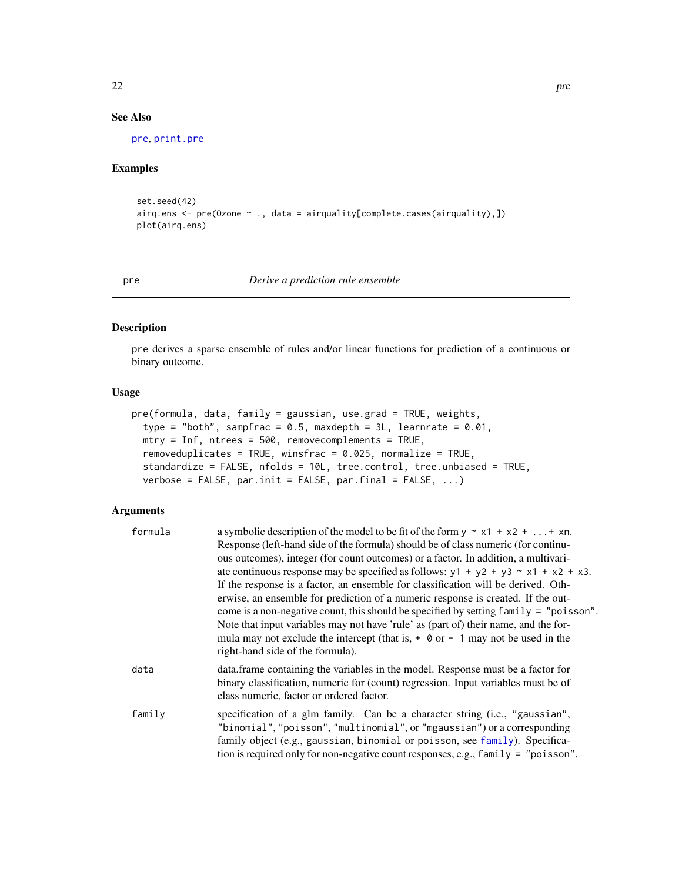#### See Also

[pre](#page-21-1), [print.pre](#page-27-1)

#### Examples

```
set.seed(42)
airq.ens <- pre(Ozone ~ ., data = airquality[complete.cases(airquality),])
plot(airq.ens)
```
#### <span id="page-21-1"></span>pre *Derive a prediction rule ensemble*

#### Description

pre derives a sparse ensemble of rules and/or linear functions for prediction of a continuous or binary outcome.

#### Usage

```
pre(formula, data, family = gaussian, use.grad = TRUE, weights,
  type = "both", sampfrac = 0.5, maxdepth = 3L, learnrate = 0.01,
 mtry = Inf, ntrees = 500, removecomplements = TRUE,removeduplicates = TRUE, winsfrac = 0.025, normalize = TRUE,
  standardize = FALSE, nfolds = 10L, tree.control, tree.unbiased = TRUE,
 verbose = FALSE, par.init = FALSE, par.final = FALSE, ...)
```
#### Arguments

| formula | a symbolic description of the model to be fit of the form $y \sim x1 + x2 +  + xn$ .                                                                                                                                                                                                                                           |
|---------|--------------------------------------------------------------------------------------------------------------------------------------------------------------------------------------------------------------------------------------------------------------------------------------------------------------------------------|
|         | Response (left-hand side of the formula) should be of class numeric (for continu-<br>ous outcomes), integer (for count outcomes) or a factor. In addition, a multivari-                                                                                                                                                        |
|         | ate continuous response may be specified as follows: $y1 + y2 + y3 \sim x1 + x2 + x3$ .                                                                                                                                                                                                                                        |
|         | If the response is a factor, an ensemble for classification will be derived. Oth-                                                                                                                                                                                                                                              |
|         | erwise, an ensemble for prediction of a numeric response is created. If the out-                                                                                                                                                                                                                                               |
|         | come is a non-negative count, this should be specified by setting family = "poisson".                                                                                                                                                                                                                                          |
|         | Note that input variables may not have 'rule' as (part of) their name, and the for-                                                                                                                                                                                                                                            |
|         | mula may not exclude the intercept (that is, $+$ 0 or $-$ 1 may not be used in the<br>right-hand side of the formula).                                                                                                                                                                                                         |
| data    | data. frame containing the variables in the model. Response must be a factor for<br>binary classification, numeric for (count) regression. Input variables must be of<br>class numeric, factor or ordered factor.                                                                                                              |
| family  | specification of a glm family. Can be a character string (i.e., "gaussian",<br>"binomial", "poisson", "multinomial", or "mgaussian") or a corresponding<br>family object (e.g., gaussian, binomial or poisson, see family). Specifica-<br>tion is required only for non-negative count responses, e.g., $f$ amily = "poisson". |

<span id="page-21-0"></span>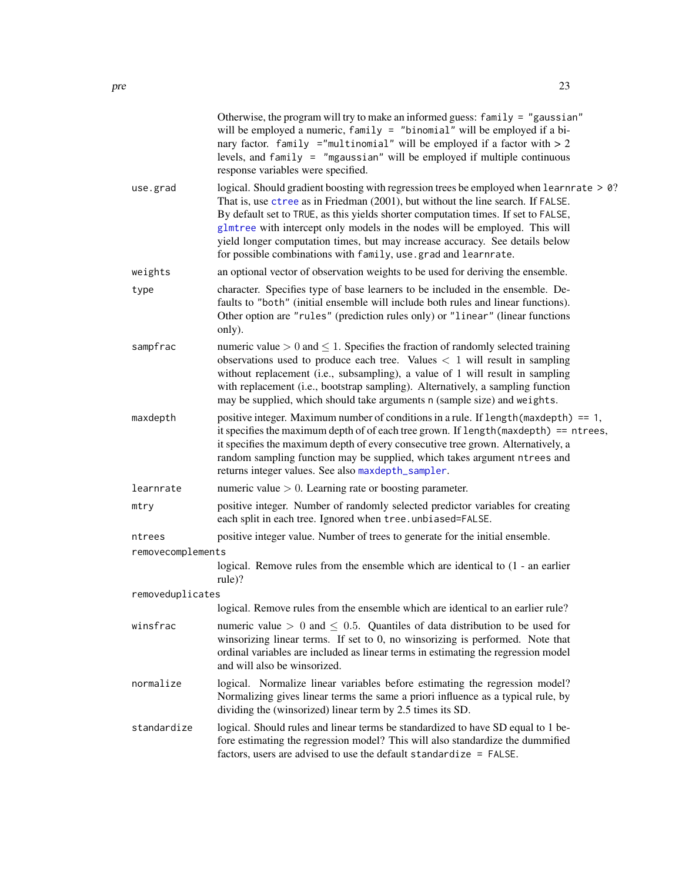<span id="page-22-0"></span>

|                   | Otherwise, the program will try to make an informed guess: family = "gaussian"<br>will be employed a numeric, family = "binomial" will be employed if a bi-<br>nary factor. family ="multinomial" will be employed if a factor with $> 2$<br>levels, and family = "mgaussian" will be employed if multiple continuous<br>response variables were specified.                                                                                                                                        |  |  |  |  |
|-------------------|----------------------------------------------------------------------------------------------------------------------------------------------------------------------------------------------------------------------------------------------------------------------------------------------------------------------------------------------------------------------------------------------------------------------------------------------------------------------------------------------------|--|--|--|--|
| use.grad          | logical. Should gradient boosting with regression trees be employed when learnrate > 0?<br>That is, use ctree as in Friedman (2001), but without the line search. If FALSE.<br>By default set to TRUE, as this yields shorter computation times. If set to FALSE,<br>glmtree with intercept only models in the nodes will be employed. This will<br>yield longer computation times, but may increase accuracy. See details below<br>for possible combinations with family, use grad and learnrate. |  |  |  |  |
| weights           | an optional vector of observation weights to be used for deriving the ensemble.                                                                                                                                                                                                                                                                                                                                                                                                                    |  |  |  |  |
| type              | character. Specifies type of base learners to be included in the ensemble. De-<br>faults to "both" (initial ensemble will include both rules and linear functions).<br>Other option are "rules" (prediction rules only) or "linear" (linear functions<br>only).                                                                                                                                                                                                                                    |  |  |  |  |
| sampfrac          | numeric value $> 0$ and $\leq 1$ . Specifies the fraction of randomly selected training<br>observations used to produce each tree. Values $<$ 1 will result in sampling<br>without replacement (i.e., subsampling), a value of 1 will result in sampling<br>with replacement (i.e., bootstrap sampling). Alternatively, a sampling function<br>may be supplied, which should take arguments n (sample size) and weights.                                                                           |  |  |  |  |
| maxdepth          | positive integer. Maximum number of conditions in a rule. If $length(maxdepth) == 1$ ,<br>it specifies the maximum depth of of each tree grown. If length (maxdepth) == ntrees,<br>it specifies the maximum depth of every consecutive tree grown. Alternatively, a<br>random sampling function may be supplied, which takes argument ntrees and<br>returns integer values. See also maxdepth_sampler.                                                                                             |  |  |  |  |
| learnrate         | numeric value $> 0$ . Learning rate or boosting parameter.                                                                                                                                                                                                                                                                                                                                                                                                                                         |  |  |  |  |
| mtry              | positive integer. Number of randomly selected predictor variables for creating<br>each split in each tree. Ignored when tree.unbiased=FALSE.                                                                                                                                                                                                                                                                                                                                                       |  |  |  |  |
| ntrees            | positive integer value. Number of trees to generate for the initial ensemble.                                                                                                                                                                                                                                                                                                                                                                                                                      |  |  |  |  |
| removecomplements |                                                                                                                                                                                                                                                                                                                                                                                                                                                                                                    |  |  |  |  |
|                   | logical. Remove rules from the ensemble which are identical to (1 - an earlier<br>rule)?                                                                                                                                                                                                                                                                                                                                                                                                           |  |  |  |  |
| removeduplicates  |                                                                                                                                                                                                                                                                                                                                                                                                                                                                                                    |  |  |  |  |
|                   | logical. Remove rules from the ensemble which are identical to an earlier rule?                                                                                                                                                                                                                                                                                                                                                                                                                    |  |  |  |  |
| winsfrac          | numeric value $> 0$ and $\leq 0.5$ . Quantiles of data distribution to be used for<br>winsorizing linear terms. If set to 0, no winsorizing is performed. Note that<br>ordinal variables are included as linear terms in estimating the regression model<br>and will also be winsorized.                                                                                                                                                                                                           |  |  |  |  |
| normalize         | logical. Normalize linear variables before estimating the regression model?<br>Normalizing gives linear terms the same a priori influence as a typical rule, by<br>dividing the (winsorized) linear term by 2.5 times its SD.                                                                                                                                                                                                                                                                      |  |  |  |  |
| standardize       | logical. Should rules and linear terms be standardized to have SD equal to 1 be-                                                                                                                                                                                                                                                                                                                                                                                                                   |  |  |  |  |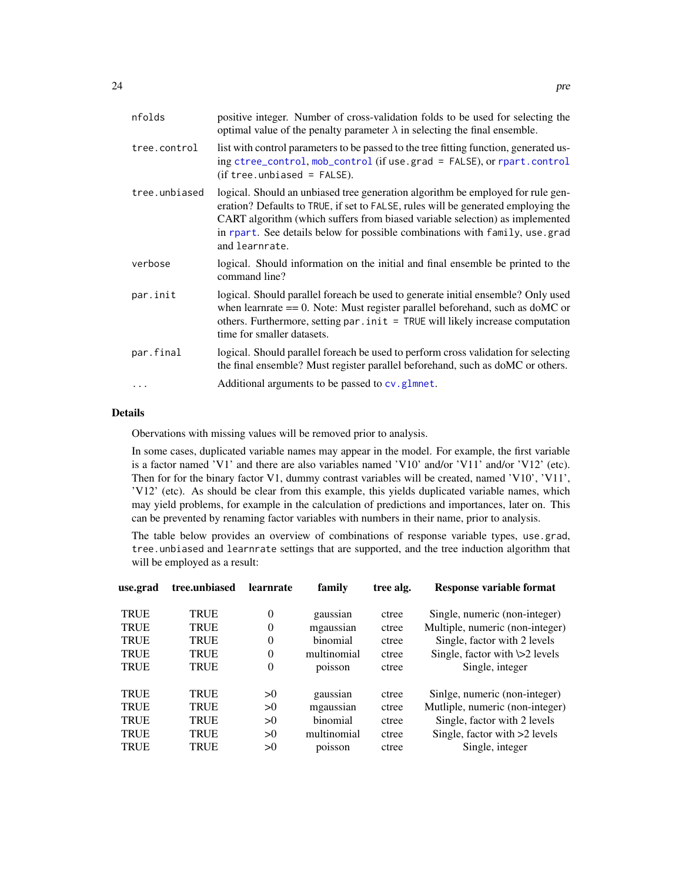<span id="page-23-0"></span>

| nfolds        | positive integer. Number of cross-validation folds to be used for selecting the<br>optimal value of the penalty parameter $\lambda$ in selecting the final ensemble.                                                                                                                                                                                  |
|---------------|-------------------------------------------------------------------------------------------------------------------------------------------------------------------------------------------------------------------------------------------------------------------------------------------------------------------------------------------------------|
| tree.control  | list with control parameters to be passed to the tree fitting function, generated us-<br>ing ctree_control, mob_control (if use.grad = FALSE), or rpart.control<br>$(if tree. unbiased = FALSE).$                                                                                                                                                     |
| tree.unbiased | logical. Should an unbiased tree generation algorithm be employed for rule gen-<br>eration? Defaults to TRUE, if set to FALSE, rules will be generated employing the<br>CART algorithm (which suffers from biased variable selection) as implemented<br>in rpart. See details below for possible combinations with family, use grad<br>and learnrate. |
| verbose       | logical. Should information on the initial and final ensemble be printed to the<br>command line?                                                                                                                                                                                                                                                      |
| par.init      | logical. Should parallel foreach be used to generate initial ensemble? Only used<br>when learnrate $== 0$ . Note: Must register parallel beforehand, such as doMC or<br>others. Furthermore, setting par . init = TRUE will likely increase computation<br>time for smaller datasets.                                                                 |
| par.final     | logical. Should parallel foreach be used to perform cross validation for selecting<br>the final ensemble? Must register parallel beforehand, such as doMC or others.                                                                                                                                                                                  |
|               | Additional arguments to be passed to cv.glmnet.                                                                                                                                                                                                                                                                                                       |
|               |                                                                                                                                                                                                                                                                                                                                                       |

#### Details

Obervations with missing values will be removed prior to analysis.

In some cases, duplicated variable names may appear in the model. For example, the first variable is a factor named 'V1' and there are also variables named 'V10' and/or 'V11' and/or 'V12' (etc). Then for for the binary factor V1, dummy contrast variables will be created, named 'V10', 'V11', 'V12' (etc). As should be clear from this example, this yields duplicated variable names, which may yield problems, for example in the calculation of predictions and importances, later on. This can be prevented by renaming factor variables with numbers in their name, prior to analysis.

The table below provides an overview of combinations of response variable types, use.grad, tree.unbiased and learnrate settings that are supported, and the tree induction algorithm that will be employed as a result:

| use.grad    | tree.unbiased | learnrate | family      | tree alg. | Response variable format            |
|-------------|---------------|-----------|-------------|-----------|-------------------------------------|
| <b>TRUE</b> | <b>TRUE</b>   | $\Omega$  | gaussian    | ctree     | Single, numeric (non-integer)       |
| <b>TRUE</b> | <b>TRUE</b>   | $\Omega$  | mgaussian   | ctree     | Multiple, numeric (non-integer)     |
| <b>TRUE</b> | <b>TRUE</b>   | $\Omega$  | binomial    | ctree     | Single, factor with 2 levels        |
| <b>TRUE</b> | <b>TRUE</b>   | $\Omega$  | multinomial | ctree     | Single, factor with $\geq 2$ levels |
| <b>TRUE</b> | <b>TRUE</b>   | $\Omega$  | poisson     | ctree     | Single, integer                     |
| <b>TRUE</b> | <b>TRUE</b>   | >0        | gaussian    | ctree     | Sinlge, numeric (non-integer)       |
| <b>TRUE</b> | <b>TRUE</b>   | >0        | mgaussian   | ctree     | Mutliple, numeric (non-integer)     |
| <b>TRUE</b> | <b>TRUE</b>   | >0        | binomial    | ctree     | Single, factor with 2 levels        |
| <b>TRUE</b> | <b>TRUE</b>   | >0        | multinomial | ctree     | Single, factor with >2 levels       |
| <b>TRUE</b> | TRUE          | >0        | poisson     | ctree     | Single, integer                     |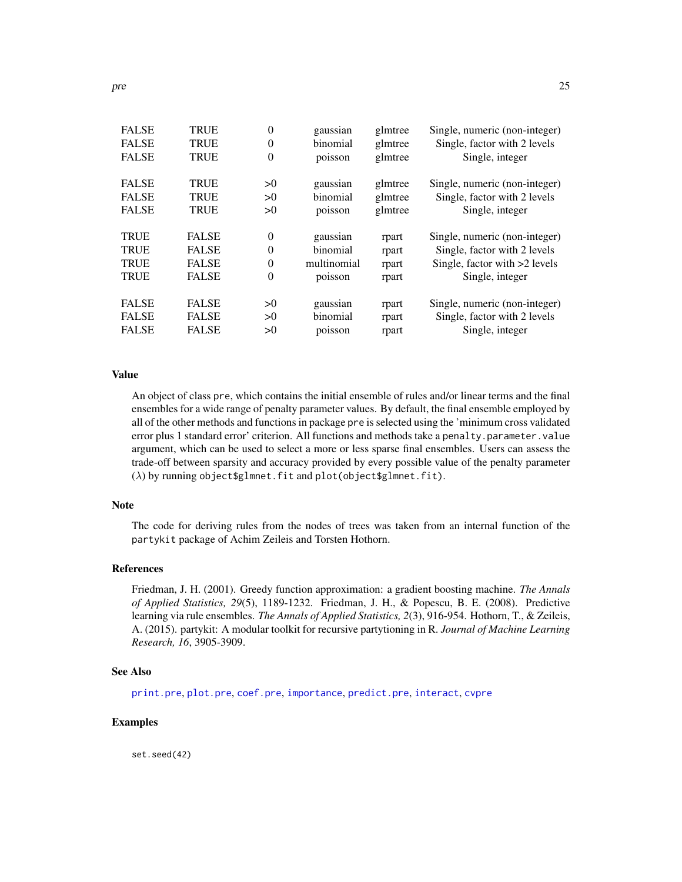<span id="page-24-0"></span>

| <b>TRUE</b>  | 0              | gaussian    | glmtree | Single, numeric (non-integer) |
|--------------|----------------|-------------|---------|-------------------------------|
| <b>TRUE</b>  | $\overline{0}$ | binomial    | glmtree | Single, factor with 2 levels  |
| <b>TRUE</b>  | $\overline{0}$ | poisson     | glmtree | Single, integer               |
| <b>TRUE</b>  | >0             | gaussian    | glmtree | Single, numeric (non-integer) |
| <b>TRUE</b>  | >0             | binomial    | glmtree | Single, factor with 2 levels  |
| <b>TRUE</b>  | >0             | poisson     | glmtree | Single, integer               |
| <b>FALSE</b> | $\overline{0}$ | gaussian    | rpart   | Single, numeric (non-integer) |
| <b>FALSE</b> | $\overline{0}$ | binomial    | rpart   | Single, factor with 2 levels  |
| <b>FALSE</b> | $\theta$       | multinomial | rpart   | Single, factor with >2 levels |
| <b>FALSE</b> | $\overline{0}$ | poisson     | rpart   | Single, integer               |
| <b>FALSE</b> | >0             | gaussian    | rpart   | Single, numeric (non-integer) |
| <b>FALSE</b> | >0             | binomial    | rpart   | Single, factor with 2 levels  |
| <b>FALSE</b> | >0             | poisson     | rpart   | Single, integer               |
|              |                |             |         |                               |

#### Value

An object of class pre, which contains the initial ensemble of rules and/or linear terms and the final ensembles for a wide range of penalty parameter values. By default, the final ensemble employed by all of the other methods and functions in package pre is selected using the 'minimum cross validated error plus 1 standard error' criterion. All functions and methods take a penalty.parameter.value argument, which can be used to select a more or less sparse final ensembles. Users can assess the trade-off between sparsity and accuracy provided by every possible value of the penalty parameter  $(\lambda)$  by running object\$glmnet.fit and plot(object\$glmnet.fit).

#### Note

The code for deriving rules from the nodes of trees was taken from an internal function of the partykit package of Achim Zeileis and Torsten Hothorn.

#### References

Friedman, J. H. (2001). Greedy function approximation: a gradient boosting machine. *The Annals of Applied Statistics, 29*(5), 1189-1232. Friedman, J. H., & Popescu, B. E. (2008). Predictive learning via rule ensembles. *The Annals of Applied Statistics, 2*(3), 916-954. Hothorn, T., & Zeileis, A. (2015). partykit: A modular toolkit for recursive partytioning in R. *Journal of Machine Learning Research, 16*, 3905-3909.

#### See Also

[print.pre](#page-27-1), [plot.pre](#page-20-1), [coef.pre](#page-4-1), [importance](#page-13-1), [predict.pre](#page-25-1), [interact](#page-15-1), [cvpre](#page-6-1)

#### Examples

set.seed(42)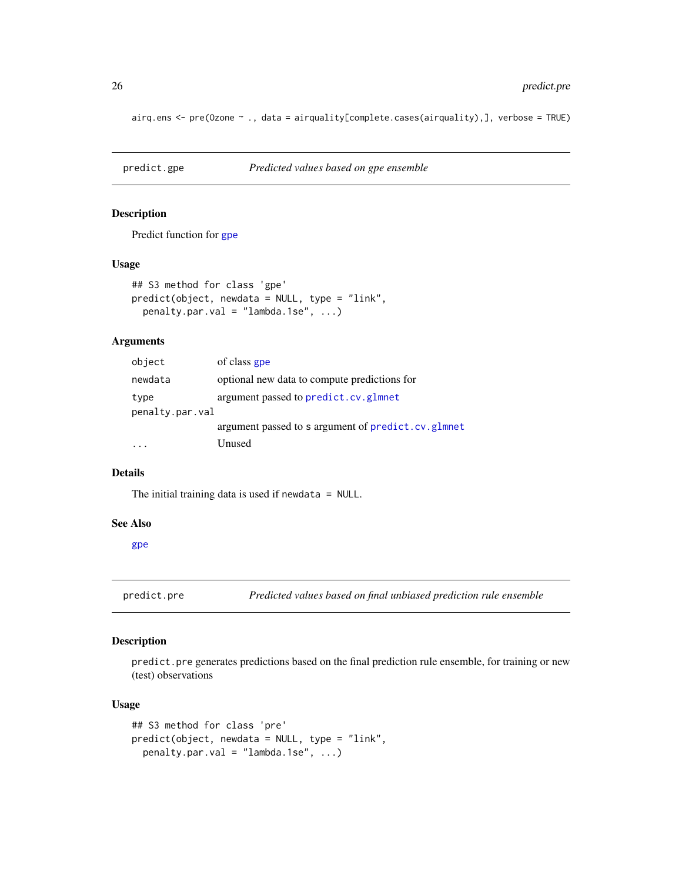airq.ens <- pre(Ozone ~ ., data = airquality[complete.cases(airquality),], verbose = TRUE)

| predict.gpe | Predicted values based on gpe ensemble |
|-------------|----------------------------------------|
|             |                                        |

#### Description

Predict function for [gpe](#page-7-1)

#### Usage

```
## S3 method for class 'gpe'
predict(object, newdata = NULL, type = "link",
 penalty.par.val = "lambda.1se", ...)
```
#### Arguments

| object          | of class gpe                                       |
|-----------------|----------------------------------------------------|
| newdata         | optional new data to compute predictions for       |
| type            | argument passed to predict.cv.glmnet               |
| penalty.par.val |                                                    |
|                 | argument passed to s argument of predict.cv.glmnet |
|                 | Unused                                             |

#### Details

The initial training data is used if newdata = NULL.

#### See Also

[gpe](#page-7-1)

<span id="page-25-1"></span>predict.pre *Predicted values based on final unbiased prediction rule ensemble*

#### Description

predict.pre generates predictions based on the final prediction rule ensemble, for training or new (test) observations

#### Usage

```
## S3 method for class 'pre'
predict(object, newdata = NULL, type = "link",
 penalty.par.val = "lambda.1se", ...)
```
<span id="page-25-0"></span>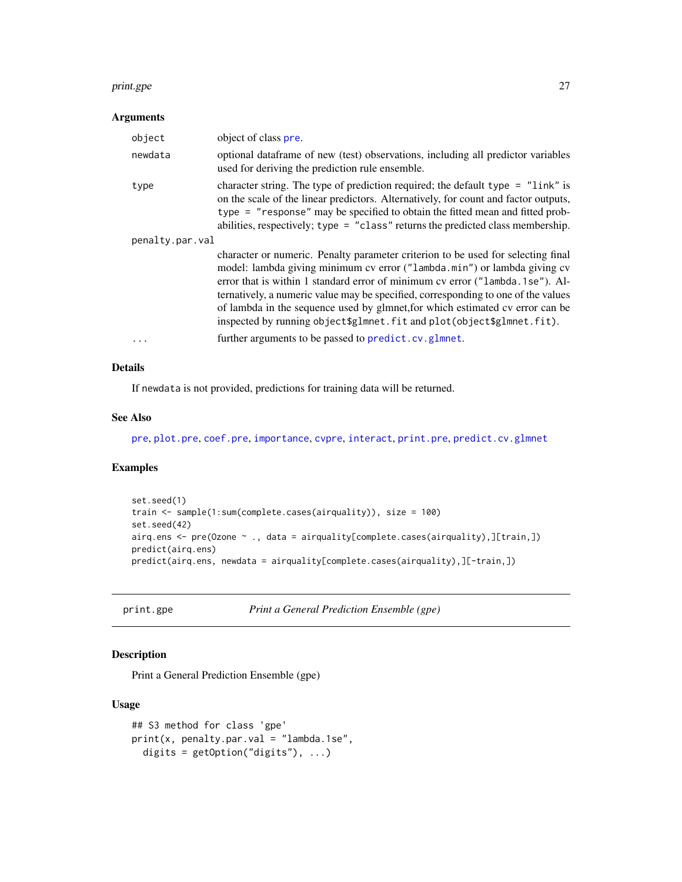#### <span id="page-26-0"></span>print.gpe 27

#### Arguments

| object          | object of class pre.                                                                                                                                                                                                                                                                                                                                                                                                                                                                         |
|-----------------|----------------------------------------------------------------------------------------------------------------------------------------------------------------------------------------------------------------------------------------------------------------------------------------------------------------------------------------------------------------------------------------------------------------------------------------------------------------------------------------------|
| newdata         | optional data frame of new (test) observations, including all predictor variables<br>used for deriving the prediction rule ensemble.                                                                                                                                                                                                                                                                                                                                                         |
| type            | character string. The type of prediction required; the default type $=$ "link" is<br>on the scale of the linear predictors. Alternatively, for count and factor outputs,<br>type = "response" may be specified to obtain the fitted mean and fitted prob-<br>abilities, respectively; type = "class" returns the predicted class membership.                                                                                                                                                 |
| penalty.par.val |                                                                                                                                                                                                                                                                                                                                                                                                                                                                                              |
|                 | character or numeric. Penalty parameter criterion to be used for selecting final<br>model: lambda giving minimum cv error ("lambda.min") or lambda giving cv<br>error that is within 1 standard error of minimum cv error ("lambda.1se"). Al-<br>ternatively, a numeric value may be specified, corresponding to one of the values<br>of lambda in the sequence used by glmnet, for which estimated cv error can be<br>inspected by running object\$glmnet.fit and plot(object\$glmnet.fit). |
|                 | further arguments to be passed to predict.cv.glmnet.                                                                                                                                                                                                                                                                                                                                                                                                                                         |

#### Details

If newdata is not provided, predictions for training data will be returned.

#### See Also

[pre](#page-21-1), [plot.pre](#page-20-1), [coef.pre](#page-4-1), [importance](#page-13-1), [cvpre](#page-6-1), [interact](#page-15-1), [print.pre](#page-27-1), [predict.cv.glmnet](#page-0-0)

#### Examples

```
set.seed(1)
train <- sample(1:sum(complete.cases(airquality)), size = 100)
set.seed(42)
airq.ens <- pre(Ozone ~ ., data = airquality[complete.cases(airquality),][train,])
predict(airq.ens)
predict(airq.ens, newdata = airquality[complete.cases(airquality),][-train,])
```
print.gpe *Print a General Prediction Ensemble (gpe)*

#### Description

Print a General Prediction Ensemble (gpe)

#### Usage

```
## S3 method for class 'gpe'
print(x, penalty.par.val = "lambda.1se",
 digits = getOption("digits"), ...)
```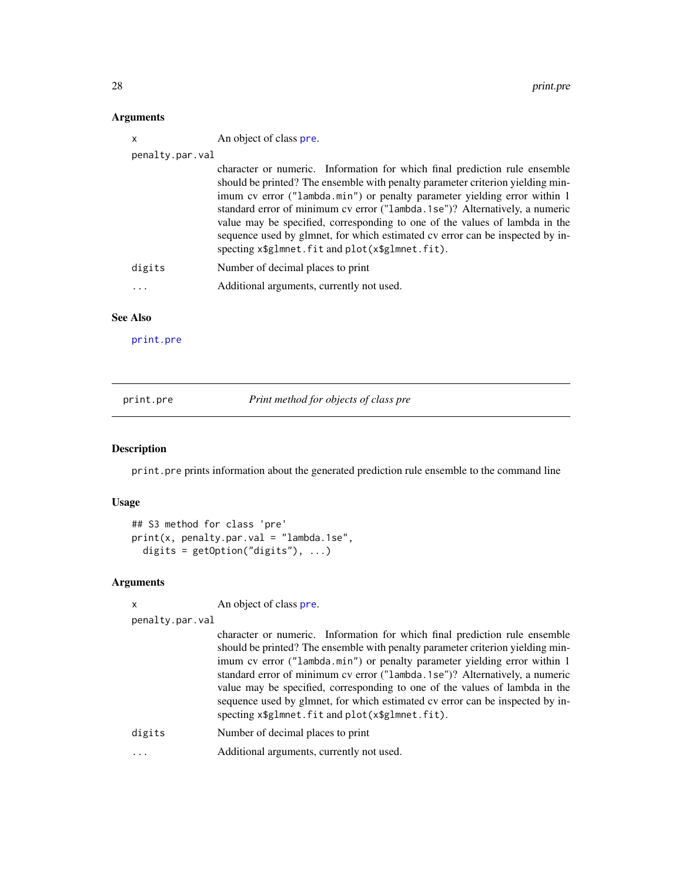#### <span id="page-27-0"></span>Arguments

| X               | An object of class pre.                                                                                                                                                                                                                                                                                                                                                                                                                                                                                                                     |
|-----------------|---------------------------------------------------------------------------------------------------------------------------------------------------------------------------------------------------------------------------------------------------------------------------------------------------------------------------------------------------------------------------------------------------------------------------------------------------------------------------------------------------------------------------------------------|
| penalty.par.val |                                                                                                                                                                                                                                                                                                                                                                                                                                                                                                                                             |
|                 | character or numeric. Information for which final prediction rule ensemble<br>should be printed? The ensemble with penalty parameter criterion yielding min-<br>imum cv error ("lambda.min") or penalty parameter yielding error within 1<br>standard error of minimum cv error ("lambda.1se")? Alternatively, a numeric<br>value may be specified, corresponding to one of the values of lambda in the<br>sequence used by glmnet, for which estimated cv error can be inspected by in-<br>specting x\$glmnet.fit and plot(x\$glmnet.fit). |
| digits          | Number of decimal places to print                                                                                                                                                                                                                                                                                                                                                                                                                                                                                                           |
| .               | Additional arguments, currently not used.                                                                                                                                                                                                                                                                                                                                                                                                                                                                                                   |
| <b>See Also</b> |                                                                                                                                                                                                                                                                                                                                                                                                                                                                                                                                             |

[print.pre](#page-27-1)

<span id="page-27-1"></span>print.pre *Print method for objects of class pre*

#### Description

print.pre prints information about the generated prediction rule ensemble to the command line

#### Usage

```
## S3 method for class 'pre'
print(x, penalty.par.val = "lambda.1se",
 digits = getOption("digits"), ...)
```
#### Arguments

x An object of class [pre](#page-21-1).

```
penalty.par.val
```
character or numeric. Information for which final prediction rule ensemble should be printed? The ensemble with penalty parameter criterion yielding minimum cv error ("lambda.min") or penalty parameter yielding error within 1 standard error of minimum cv error ("lambda.1se")? Alternatively, a numeric value may be specified, corresponding to one of the values of lambda in the sequence used by glmnet, for which estimated cv error can be inspected by inspecting x\$glmnet.fit and plot(x\$glmnet.fit).

digits Number of decimal places to print

... Additional arguments, currently not used.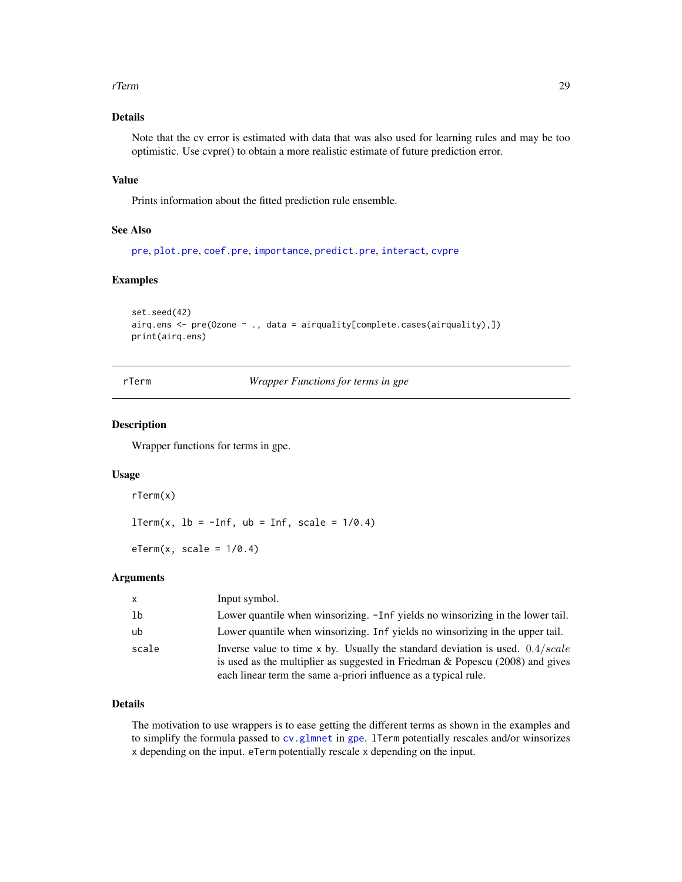#### <span id="page-28-0"></span>rTerm 29

### Details

Note that the cv error is estimated with data that was also used for learning rules and may be too optimistic. Use cvpre() to obtain a more realistic estimate of future prediction error.

#### Value

Prints information about the fitted prediction rule ensemble.

#### See Also

[pre](#page-21-1), [plot.pre](#page-20-1), [coef.pre](#page-4-1), [importance](#page-13-1), [predict.pre](#page-25-1), [interact](#page-15-1), [cvpre](#page-6-1)

#### Examples

```
set.seed(42)
airq.ens <- pre(Ozone ~ ., data = airquality[complete.cases(airquality),])
print(airq.ens)
```
rTerm *Wrapper Functions for terms in gpe*

#### <span id="page-28-2"></span>Description

Wrapper functions for terms in gpe.

#### Usage

rTerm(x)

 $lTerm(x, lb = -Inf, ub = Inf, scale = 1/0.4)$ 

 $eTerm(x, scale = 1/0.4)$ 

#### Arguments

| $\mathsf{x}$ | Input symbol.                                                                                                                                                                                                                          |
|--------------|----------------------------------------------------------------------------------------------------------------------------------------------------------------------------------------------------------------------------------------|
| 1b           | Lower quantile when winsorizing. -Inf yields no winsorizing in the lower tail.                                                                                                                                                         |
| ub           | Lower quantile when winsorizing. Inf yields no winsorizing in the upper tail.                                                                                                                                                          |
| scale        | Inverse value to time x by. Usually the standard deviation is used. $0.4/scale$<br>is used as the multiplier as suggested in Friedman $\&$ Popescu (2008) and gives<br>each linear term the same a-priori influence as a typical rule. |

#### Details

The motivation to use wrappers is to ease getting the different terms as shown in the examples and to simplify the formula passed to cv. glmnet in [gpe](#page-7-1). 1 Term potentially rescales and/or winsorizes x depending on the input. eTerm potentially rescale x depending on the input.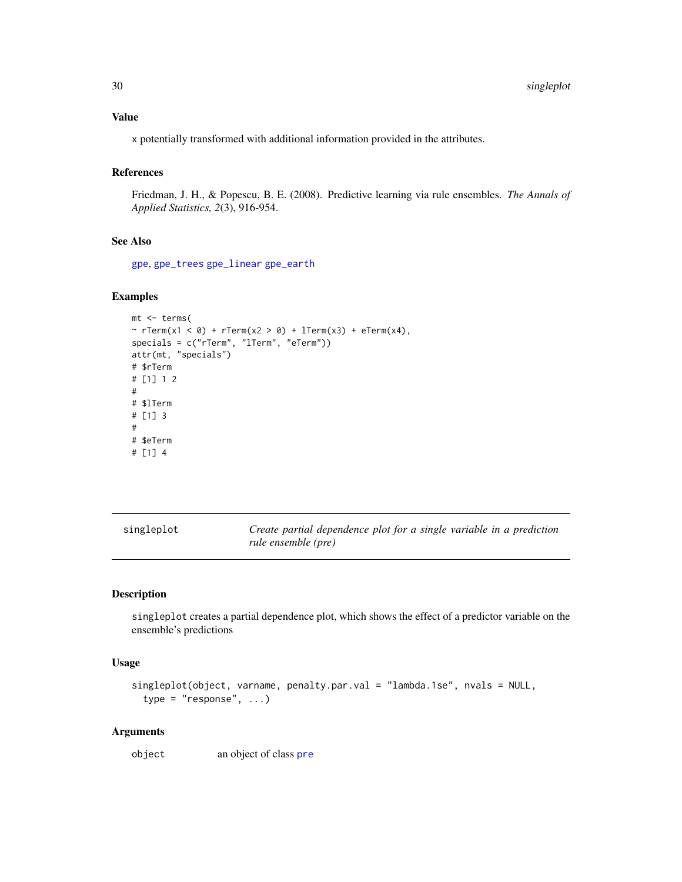#### <span id="page-29-0"></span>Value

x potentially transformed with additional information provided in the attributes.

#### References

Friedman, J. H., & Popescu, B. E. (2008). Predictive learning via rule ensembles. *The Annals of Applied Statistics, 2*(3), 916-954.

#### See Also

[gpe](#page-7-1), [gpe\\_trees](#page-11-2) [gpe\\_linear](#page-11-1) [gpe\\_earth](#page-11-1)

#### Examples

```
mt <- terms(
~ rTerm(x1 \le 0) + rTerm(x2 > 0) + lTerm(x3) + eTerm(x4),specials = c("rTerm", "lTerm", "eTerm"))
attr(mt, "specials")
# $rTerm
# [1] 1 2
#
# $lTerm
# [1] 3
#
# $eTerm
# [1] 4
```
<span id="page-29-1"></span>

| singleplot | Create partial dependence plot for a single variable in a prediction |
|------------|----------------------------------------------------------------------|
|            | rule ensemble (pre)                                                  |

#### Description

singleplot creates a partial dependence plot, which shows the effect of a predictor variable on the ensemble's predictions

#### Usage

```
singleplot(object, varname, penalty.par.val = "lambda.1se", nvals = NULL,
  type = "response", ...)
```
#### Arguments

object an object of class [pre](#page-21-1)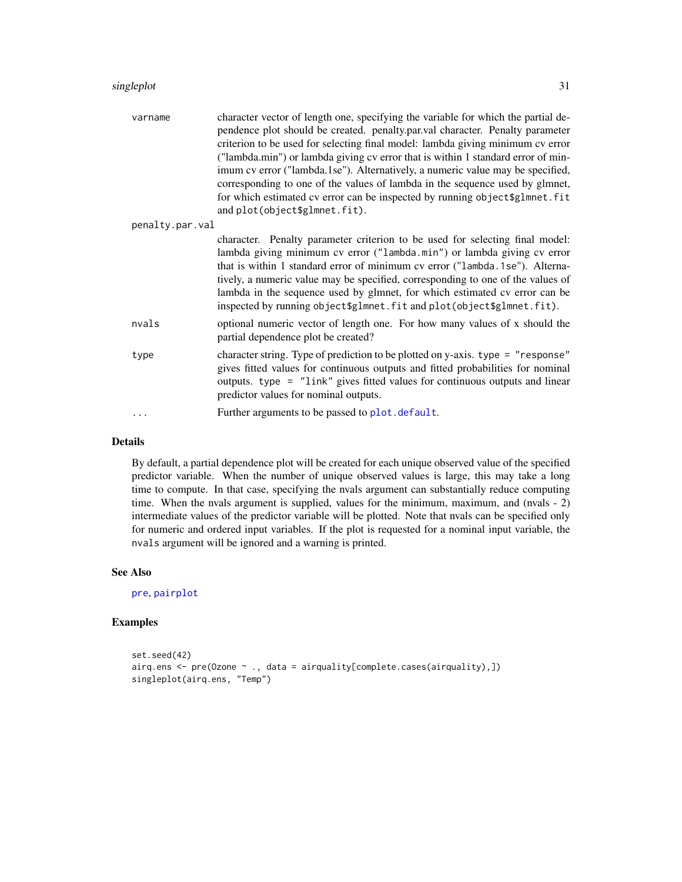<span id="page-30-0"></span>

| varname         | character vector of length one, specifying the variable for which the partial de-<br>pendence plot should be created. penalty.par.val character. Penalty parameter<br>criterion to be used for selecting final model: lambda giving minimum cv error<br>("lambda.min") or lambda giving cv error that is within 1 standard error of min-<br>imum cv error ("lambda.1se"). Alternatively, a numeric value may be specified,<br>corresponding to one of the values of lambda in the sequence used by glmnet,<br>for which estimated cv error can be inspected by running object \$glmnet.fit<br>and plot(object\$glmnet.fit). |
|-----------------|-----------------------------------------------------------------------------------------------------------------------------------------------------------------------------------------------------------------------------------------------------------------------------------------------------------------------------------------------------------------------------------------------------------------------------------------------------------------------------------------------------------------------------------------------------------------------------------------------------------------------------|
| penalty.par.val |                                                                                                                                                                                                                                                                                                                                                                                                                                                                                                                                                                                                                             |
|                 | character. Penalty parameter criterion to be used for selecting final model:<br>lambda giving minimum cv error ("lambda.min") or lambda giving cv error<br>that is within 1 standard error of minimum cv error ("lambda.1se"). Alterna-<br>tively, a numeric value may be specified, corresponding to one of the values of<br>lambda in the sequence used by glmnet, for which estimated cv error can be<br>inspected by running object\$glmnet.fit and plot(object\$glmnet.fit).                                                                                                                                           |
| nvals           | optional numeric vector of length one. For how many values of x should the<br>partial dependence plot be created?                                                                                                                                                                                                                                                                                                                                                                                                                                                                                                           |
| type            | character string. Type of prediction to be plotted on y-axis. type = "response"<br>gives fitted values for continuous outputs and fitted probabilities for nominal<br>outputs. type = "link" gives fitted values for continuous outputs and linear<br>predictor values for nominal outputs.                                                                                                                                                                                                                                                                                                                                 |
| .               | Further arguments to be passed to plot.default.                                                                                                                                                                                                                                                                                                                                                                                                                                                                                                                                                                             |

#### Details

By default, a partial dependence plot will be created for each unique observed value of the specified predictor variable. When the number of unique observed values is large, this may take a long time to compute. In that case, specifying the nvals argument can substantially reduce computing time. When the nvals argument is supplied, values for the minimum, maximum, and (nvals - 2) intermediate values of the predictor variable will be plotted. Note that nvals can be specified only for numeric and ordered input variables. If the plot is requested for a nominal input variable, the nvals argument will be ignored and a warning is printed.

#### See Also

[pre](#page-21-1), [pairplot](#page-18-1)

#### Examples

```
set.seed(42)
airq.ens <- pre(Ozone ~ ., data = airquality[complete.cases(airquality),])
singleplot(airq.ens, "Temp")
```